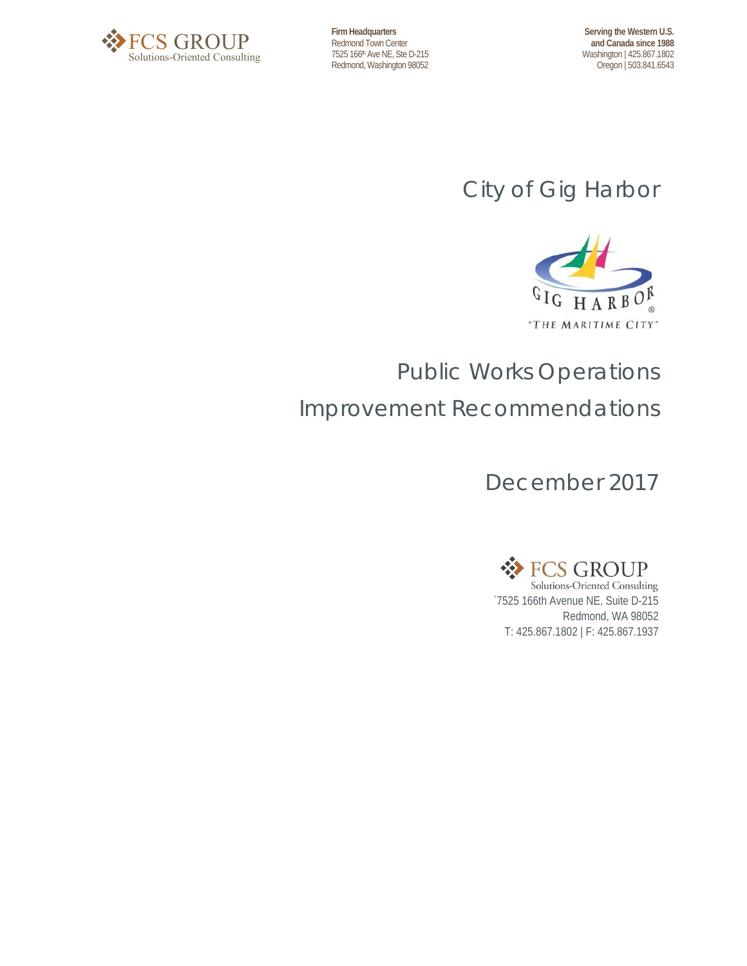

**Firm Headquarters**  Redmond Town Center 7525 166th Ave NE, Ste D-215 Redmond, Washington 98052

**Serving the Western U.S. and Canada since 1988** Washington | 425.867.1802 Oregon | 503.841.6543

## City of Gig Harbor



## Public Works Operations Improvement Recommendations

December 2017



Redmond, WA 98052 T: 425.867.1802 | F: 425.867.1937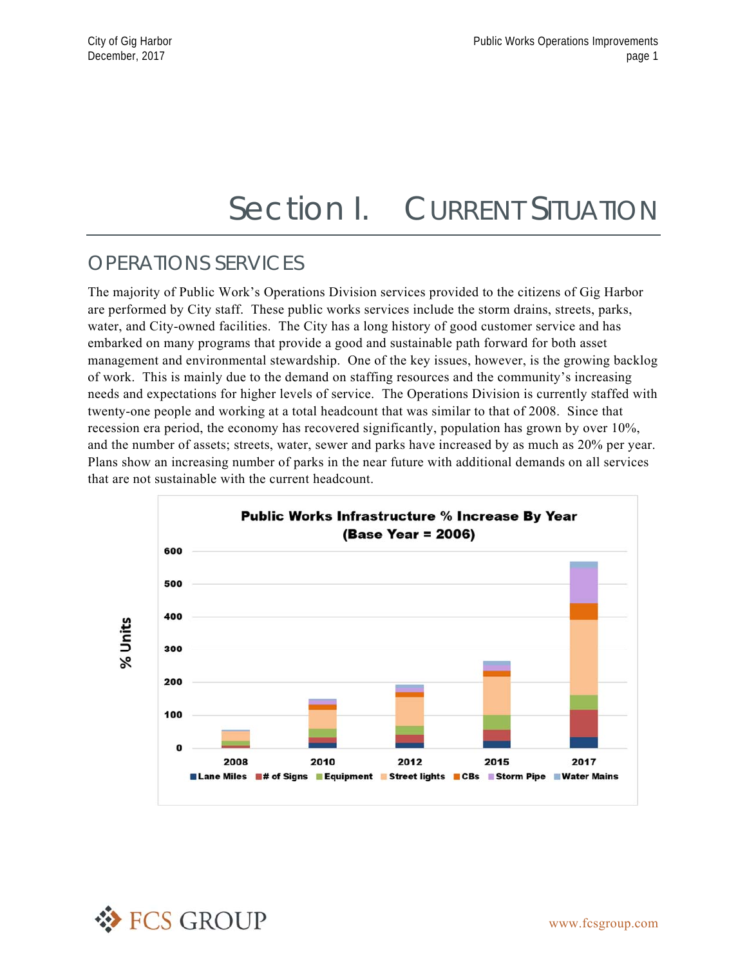## Section I. CURRENT SITUATION

### OPERATIONS SERVICES

The majority of Public Work's Operations Division services provided to the citizens of Gig Harbor are performed by City staff. These public works services include the storm drains, streets, parks, water, and City-owned facilities. The City has a long history of good customer service and has embarked on many programs that provide a good and sustainable path forward for both asset management and environmental stewardship. One of the key issues, however, is the growing backlog of work. This is mainly due to the demand on staffing resources and the community's increasing needs and expectations for higher levels of service. The Operations Division is currently staffed with twenty-one people and working at a total headcount that was similar to that of 2008. Since that recession era period, the economy has recovered significantly, population has grown by over 10%, and the number of assets; streets, water, sewer and parks have increased by as much as 20% per year. Plans show an increasing number of parks in the near future with additional demands on all services that are not sustainable with the current headcount.



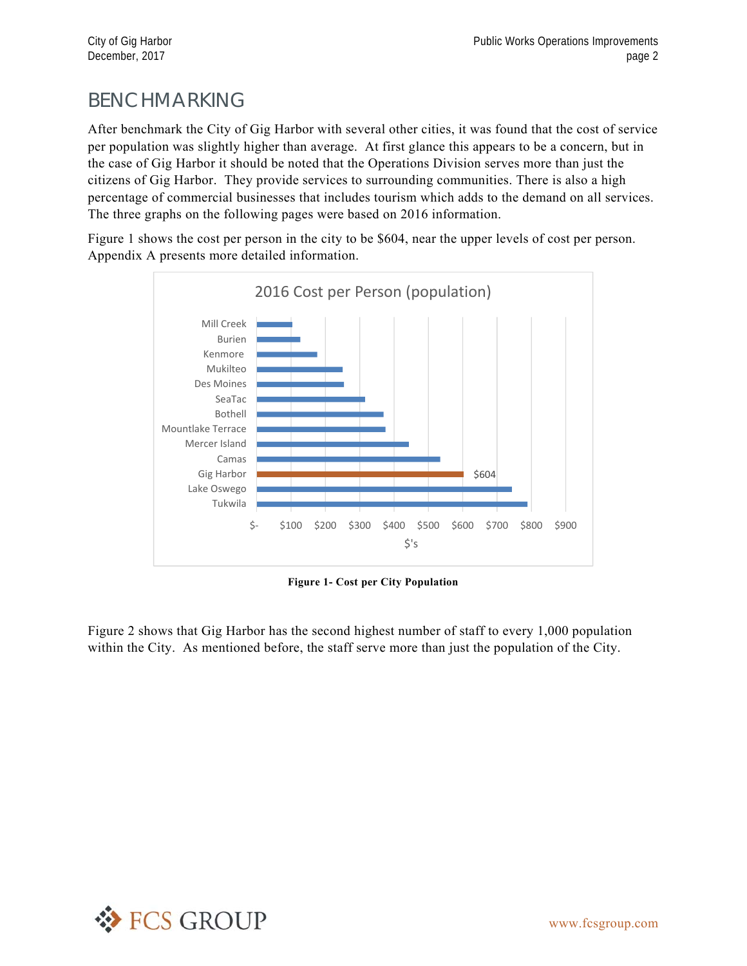## BENCHMARKING

After benchmark the City of Gig Harbor with several other cities, it was found that the cost of service per population was slightly higher than average. At first glance this appears to be a concern, but in the case of Gig Harbor it should be noted that the Operations Division serves more than just the citizens of Gig Harbor. They provide services to surrounding communities. There is also a high percentage of commercial businesses that includes tourism which adds to the demand on all services. The three graphs on the following pages were based on 2016 information.

Figure 1 shows the cost per person in the city to be \$604, near the upper levels of cost per person. Appendix A presents more detailed information.



**Figure 1- Cost per City Population** 

Figure 2 shows that Gig Harbor has the second highest number of staff to every 1,000 population within the City. As mentioned before, the staff serve more than just the population of the City.

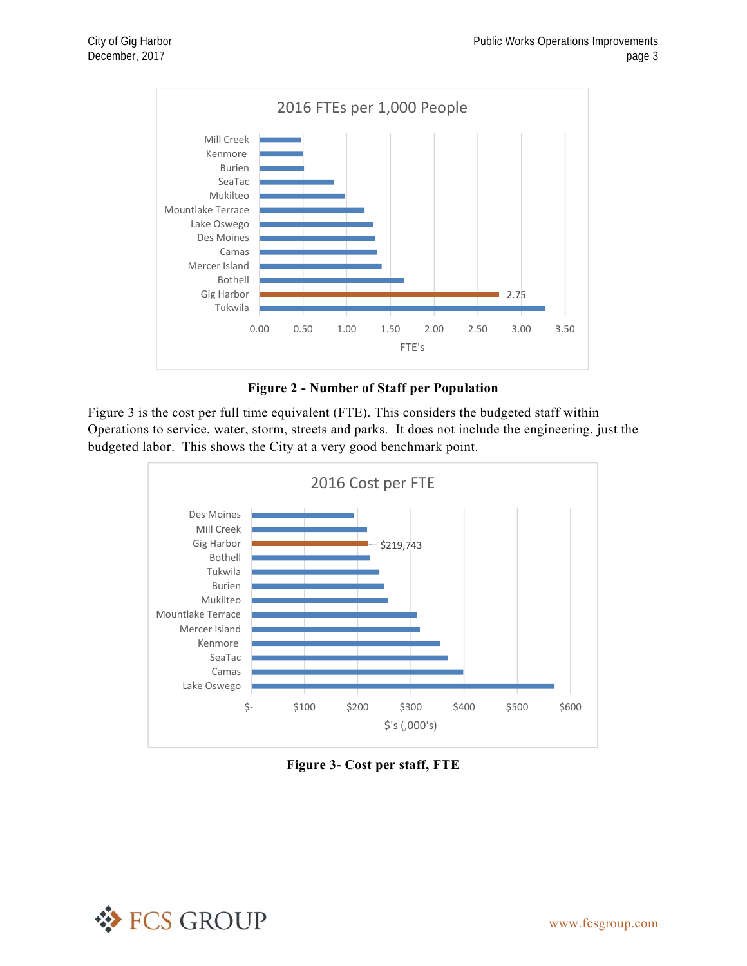

**Figure 2 - Number of Staff per Population** 

Figure 3 is the cost per full time equivalent (FTE). This considers the budgeted staff within Operations to service, water, storm, streets and parks. It does not include the engineering, just the budgeted labor. This shows the City at a very good benchmark point.



**Figure 3- Cost per staff, FTE** 

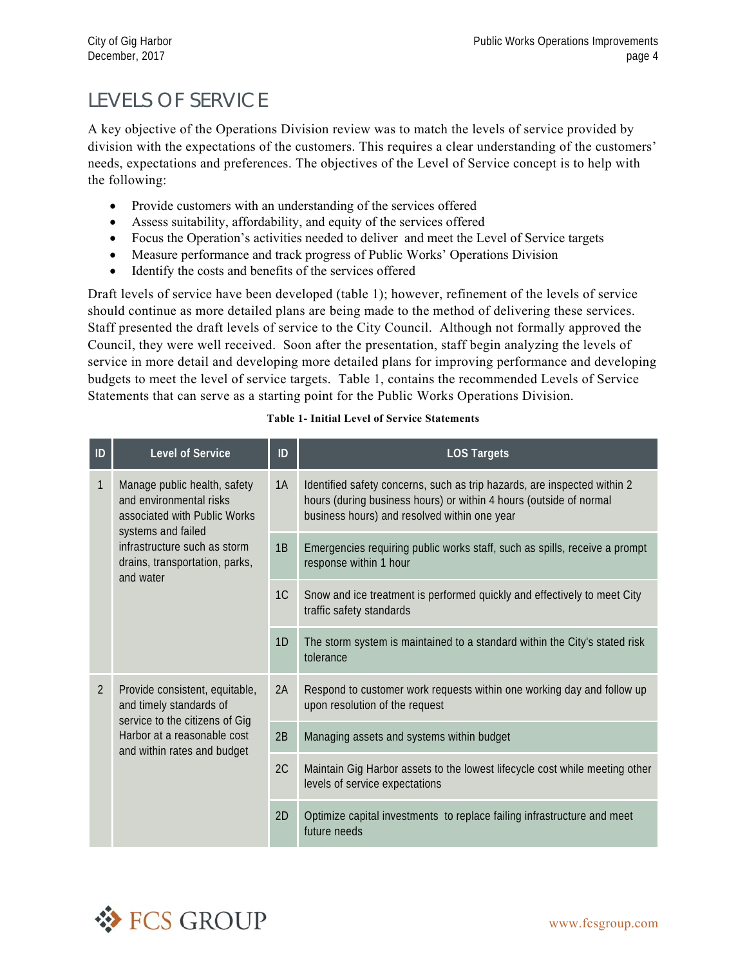## LEVELS OF SERVICE

A key objective of the Operations Division review was to match the levels of service provided by division with the expectations of the customers. This requires a clear understanding of the customers' needs, expectations and preferences. The objectives of the Level of Service concept is to help with the following:

- Provide customers with an understanding of the services offered
- Assess suitability, affordability, and equity of the services offered
- Focus the Operation's activities needed to deliver and meet the Level of Service targets
- Measure performance and track progress of Public Works' Operations Division
- Identify the costs and benefits of the services offered

Draft levels of service have been developed (table 1); however, refinement of the levels of service should continue as more detailed plans are being made to the method of delivering these services. Staff presented the draft levels of service to the City Council. Although not formally approved the Council, they were well received. Soon after the presentation, staff begin analyzing the levels of service in more detail and developing more detailed plans for improving performance and developing budgets to meet the level of service targets. Table 1, contains the recommended Levels of Service Statements that can serve as a starting point for the Public Works Operations Division.

| ID             | Level of Service                                                                                              | ID             | <b>LOS Targets</b>                                                                                                                                                                             |
|----------------|---------------------------------------------------------------------------------------------------------------|----------------|------------------------------------------------------------------------------------------------------------------------------------------------------------------------------------------------|
| 1              | Manage public health, safety<br>and environmental risks<br>associated with Public Works<br>systems and failed | 1A             | Identified safety concerns, such as trip hazards, are inspected within 2<br>hours (during business hours) or within 4 hours (outside of normal<br>business hours) and resolved within one year |
|                | infrastructure such as storm<br>drains, transportation, parks,<br>and water                                   | 1B             | Emergencies requiring public works staff, such as spills, receive a prompt<br>response within 1 hour                                                                                           |
|                |                                                                                                               | 1 <sup>C</sup> | Snow and ice treatment is performed quickly and effectively to meet City<br>traffic safety standards                                                                                           |
|                |                                                                                                               | 1D             | The storm system is maintained to a standard within the City's stated risk<br>tolerance                                                                                                        |
| $\overline{2}$ | Provide consistent, equitable,<br>and timely standards of<br>service to the citizens of Gig                   | 2A             | Respond to customer work requests within one working day and follow up<br>upon resolution of the request                                                                                       |
|                | Harbor at a reasonable cost<br>and within rates and budget                                                    | 2B             | Managing assets and systems within budget                                                                                                                                                      |
|                |                                                                                                               | 2C             | Maintain Gig Harbor assets to the lowest lifecycle cost while meeting other<br>levels of service expectations                                                                                  |
|                |                                                                                                               | 2D             | Optimize capital investments to replace failing infrastructure and meet<br>future needs                                                                                                        |

#### **Table 1- Initial Level of Service Statements**

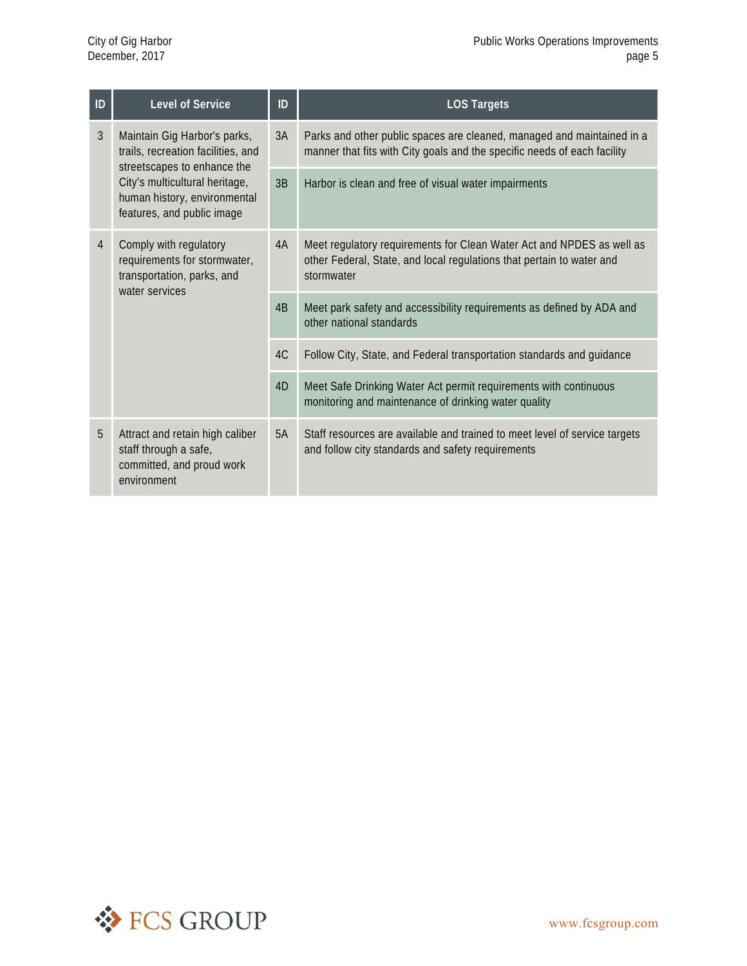| ID             | <b>Level of Service</b>                                                                                                     | ID | <b>LOS Targets</b>                                                                                                                                           |
|----------------|-----------------------------------------------------------------------------------------------------------------------------|----|--------------------------------------------------------------------------------------------------------------------------------------------------------------|
| $\overline{3}$ | Maintain Gig Harbor's parks,<br>trails, recreation facilities, and                                                          | 3A | Parks and other public spaces are cleaned, managed and maintained in a<br>manner that fits with City goals and the specific needs of each facility           |
|                | streetscapes to enhance the<br>City's multicultural heritage,<br>human history, environmental<br>features, and public image | 3B | Harbor is clean and free of visual water impairments                                                                                                         |
| $\overline{4}$ | Comply with regulatory<br>requirements for stormwater,<br>transportation, parks, and<br>water services                      | 4A | Meet regulatory requirements for Clean Water Act and NPDES as well as<br>other Federal, State, and local regulations that pertain to water and<br>stormwater |
|                |                                                                                                                             | 4B | Meet park safety and accessibility requirements as defined by ADA and<br>other national standards                                                            |
|                |                                                                                                                             | 4C | Follow City, State, and Federal transportation standards and guidance                                                                                        |
|                |                                                                                                                             | 4D | Meet Safe Drinking Water Act permit requirements with continuous<br>monitoring and maintenance of drinking water quality                                     |
| 5              | Attract and retain high caliber<br>staff through a safe,<br>committed, and proud work<br>environment                        | 5A | Staff resources are available and trained to meet level of service targets<br>and follow city standards and safety requirements                              |

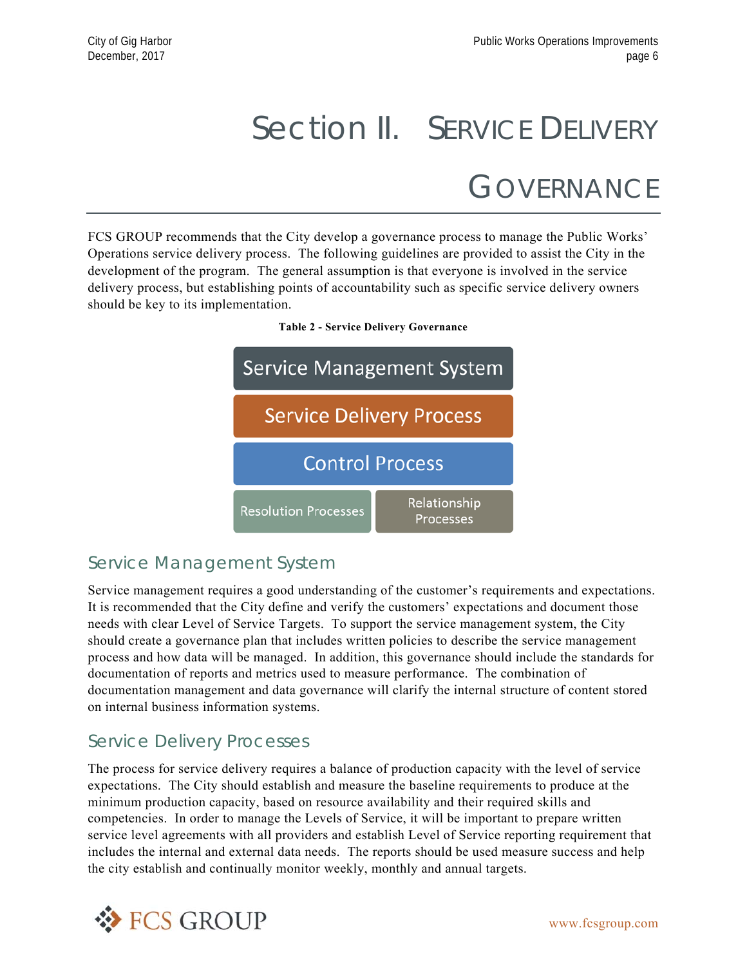# Section II. SERVICE DELIVERY **GOVERNANCE**

FCS GROUP recommends that the City develop a governance process to manage the Public Works' Operations service delivery process. The following guidelines are provided to assist the City in the development of the program. The general assumption is that everyone is involved in the service delivery process, but establishing points of accountability such as specific service delivery owners should be key to its implementation.



#### **Table 2 - Service Delivery Governance**

### Service Management System

Service management requires a good understanding of the customer's requirements and expectations. It is recommended that the City define and verify the customers' expectations and document those needs with clear Level of Service Targets. To support the service management system, the City should create a governance plan that includes written policies to describe the service management process and how data will be managed. In addition, this governance should include the standards for documentation of reports and metrics used to measure performance. The combination of documentation management and data governance will clarify the internal structure of content stored on internal business information systems.

### Service Delivery Processes

The process for service delivery requires a balance of production capacity with the level of service expectations. The City should establish and measure the baseline requirements to produce at the minimum production capacity, based on resource availability and their required skills and competencies. In order to manage the Levels of Service, it will be important to prepare written service level agreements with all providers and establish Level of Service reporting requirement that includes the internal and external data needs. The reports should be used measure success and help the city establish and continually monitor weekly, monthly and annual targets.

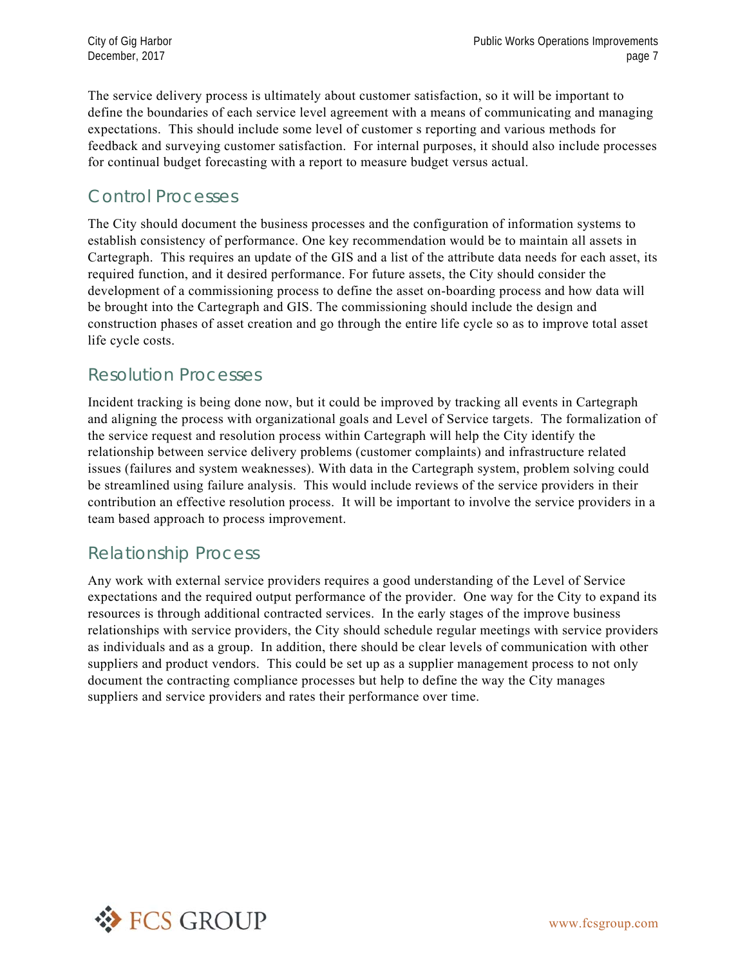The service delivery process is ultimately about customer satisfaction, so it will be important to define the boundaries of each service level agreement with a means of communicating and managing expectations. This should include some level of customer s reporting and various methods for feedback and surveying customer satisfaction. For internal purposes, it should also include processes for continual budget forecasting with a report to measure budget versus actual.

### Control Processes

The City should document the business processes and the configuration of information systems to establish consistency of performance. One key recommendation would be to maintain all assets in Cartegraph. This requires an update of the GIS and a list of the attribute data needs for each asset, its required function, and it desired performance. For future assets, the City should consider the development of a commissioning process to define the asset on-boarding process and how data will be brought into the Cartegraph and GIS. The commissioning should include the design and construction phases of asset creation and go through the entire life cycle so as to improve total asset life cycle costs.

### Resolution Processes

Incident tracking is being done now, but it could be improved by tracking all events in Cartegraph and aligning the process with organizational goals and Level of Service targets. The formalization of the service request and resolution process within Cartegraph will help the City identify the relationship between service delivery problems (customer complaints) and infrastructure related issues (failures and system weaknesses). With data in the Cartegraph system, problem solving could be streamlined using failure analysis. This would include reviews of the service providers in their contribution an effective resolution process. It will be important to involve the service providers in a team based approach to process improvement.

### Relationship Process

Any work with external service providers requires a good understanding of the Level of Service expectations and the required output performance of the provider. One way for the City to expand its resources is through additional contracted services. In the early stages of the improve business relationships with service providers, the City should schedule regular meetings with service providers as individuals and as a group. In addition, there should be clear levels of communication with other suppliers and product vendors. This could be set up as a supplier management process to not only document the contracting compliance processes but help to define the way the City manages suppliers and service providers and rates their performance over time.

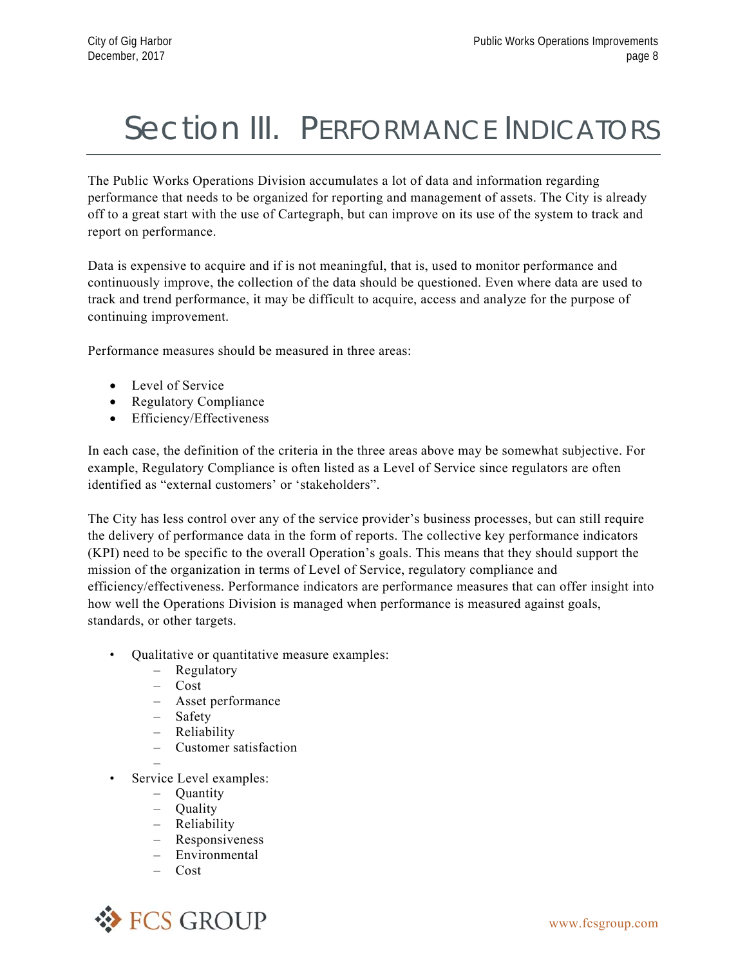# Section III. PERFORMANCE INDICATORS

The Public Works Operations Division accumulates a lot of data and information regarding performance that needs to be organized for reporting and management of assets. The City is already off to a great start with the use of Cartegraph, but can improve on its use of the system to track and report on performance.

Data is expensive to acquire and if is not meaningful, that is, used to monitor performance and continuously improve, the collection of the data should be questioned. Even where data are used to track and trend performance, it may be difficult to acquire, access and analyze for the purpose of continuing improvement.

Performance measures should be measured in three areas:

- Level of Service
- Regulatory Compliance
- Efficiency/Effectiveness

In each case, the definition of the criteria in the three areas above may be somewhat subjective. For example, Regulatory Compliance is often listed as a Level of Service since regulators are often identified as "external customers' or 'stakeholders".

The City has less control over any of the service provider's business processes, but can still require the delivery of performance data in the form of reports. The collective key performance indicators (KPI) need to be specific to the overall Operation's goals. This means that they should support the mission of the organization in terms of Level of Service, regulatory compliance and efficiency/effectiveness. Performance indicators are performance measures that can offer insight into how well the Operations Division is managed when performance is measured against goals, standards, or other targets.

- Qualitative or quantitative measure examples:
	- Regulatory
	- Cost
	- Asset performance
	- Safety
	- Reliability
	- Customer satisfaction
- • Service Level examples:
	- Quantity
	- Quality
	- Reliability
	- Responsiveness
	- Environmental
	- Cost

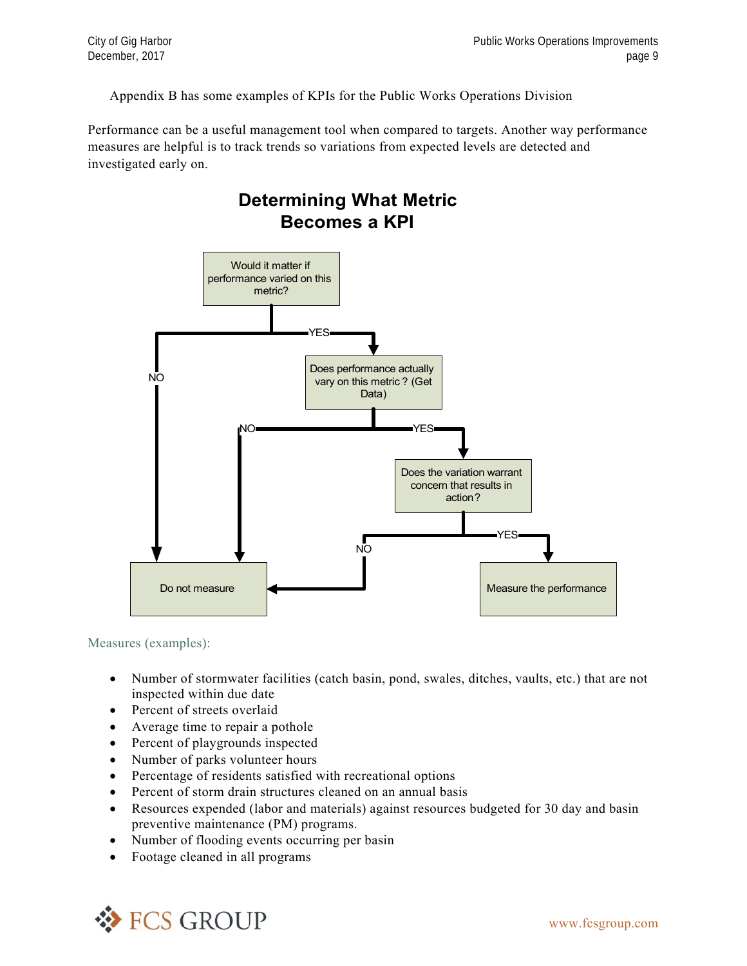Appendix B has some examples of KPIs for the Public Works Operations Division

**Determining What Metric** 

Performance can be a useful management tool when compared to targets. Another way performance measures are helpful is to track trends so variations from expected levels are detected and investigated early on.



Measures (examples):

- Number of stormwater facilities (catch basin, pond, swales, ditches, vaults, etc.) that are not inspected within due date
- Percent of streets overlaid
- Average time to repair a pothole
- Percent of playgrounds inspected
- Number of parks volunteer hours
- Percentage of residents satisfied with recreational options
- Percent of storm drain structures cleaned on an annual basis
- Resources expended (labor and materials) against resources budgeted for 30 day and basin preventive maintenance (PM) programs.
- Number of flooding events occurring per basin
- Footage cleaned in all programs

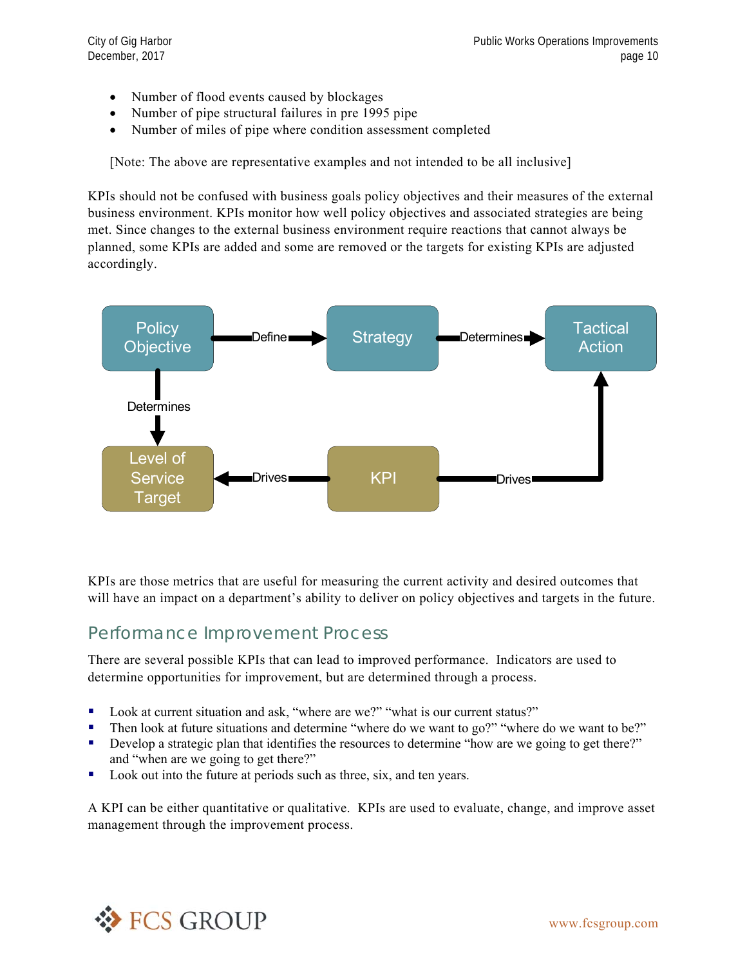- Number of flood events caused by blockages
- Number of pipe structural failures in pre 1995 pipe
- Number of miles of pipe where condition assessment completed

[Note: The above are representative examples and not intended to be all inclusive]

KPIs should not be confused with business goals policy objectives and their measures of the external business environment. KPIs monitor how well policy objectives and associated strategies are being met. Since changes to the external business environment require reactions that cannot always be planned, some KPIs are added and some are removed or the targets for existing KPIs are adjusted accordingly.



KPIs are those metrics that are useful for measuring the current activity and desired outcomes that will have an impact on a department's ability to deliver on policy objectives and targets in the future.

### Performance Improvement Process

There are several possible KPIs that can lead to improved performance. Indicators are used to determine opportunities for improvement, but are determined through a process.

- Look at current situation and ask, "where are we?" "what is our current status?"
- Then look at future situations and determine "where do we want to go?" "where do we want to be?"
- Develop a strategic plan that identifies the resources to determine "how are we going to get there?" and "when are we going to get there?"
- Look out into the future at periods such as three, six, and ten years.

A KPI can be either quantitative or qualitative. KPIs are used to evaluate, change, and improve asset management through the improvement process.

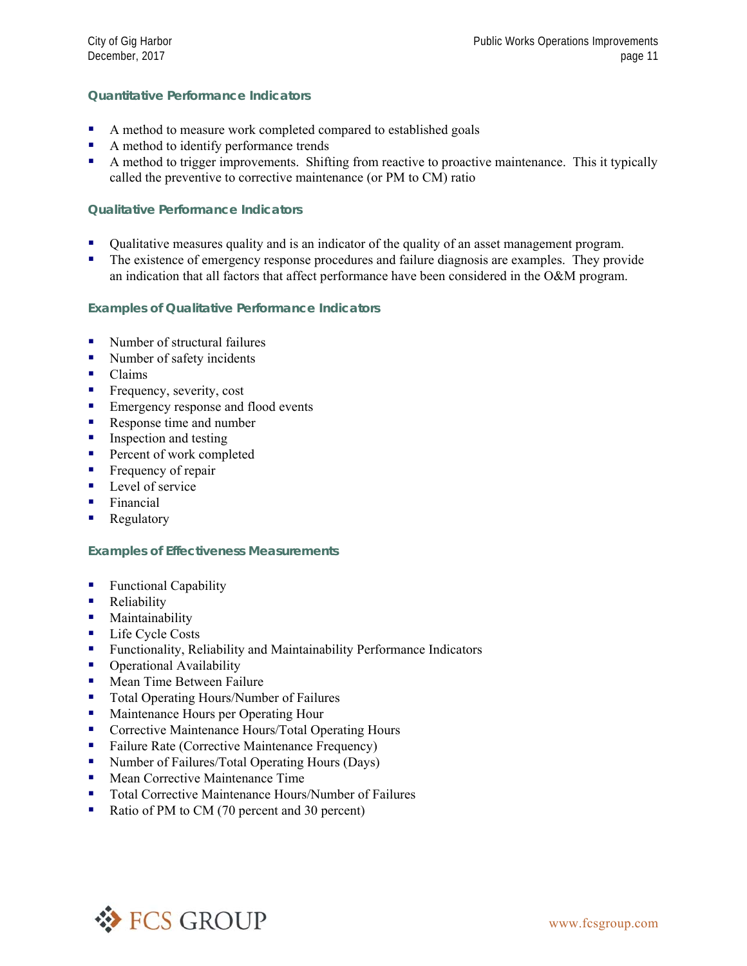#### **Quantitative Performance Indicators**

- A method to measure work completed compared to established goals
- A method to identify performance trends
- A method to trigger improvements. Shifting from reactive to proactive maintenance. This it typically called the preventive to corrective maintenance (or PM to CM) ratio

#### **Qualitative Performance Indicators**

- Qualitative measures quality and is an indicator of the quality of an asset management program.
- The existence of emergency response procedures and failure diagnosis are examples. They provide an indication that all factors that affect performance have been considered in the O&M program.

#### **Examples of Qualitative Performance Indicators**

- Number of structural failures
- Number of safety incidents
- **Claims**
- **Figure** Frequency, severity, cost
- **Emergency response and flood events**
- Response time and number
- $\blacksquare$  Inspection and testing
- **Percent of work completed**
- Frequency of repair
- $\blacksquare$  Level of service
- **Financial**
- **Regulatory**

#### **Examples of Effectiveness Measurements**

- Functional Capability
- **Reliability**
- **Maintainability**
- **Life Cycle Costs**
- **Functionality, Reliability and Maintainability Performance Indicators**
- **•** Operational Availability
- **Mean Time Between Failure**
- Total Operating Hours/Number of Failures
- **Maintenance Hours per Operating Hour**
- **Corrective Maintenance Hours/Total Operating Hours**
- Failure Rate (Corrective Maintenance Frequency)
- Number of Failures/Total Operating Hours (Days)
- **Mean Corrective Maintenance Time**
- Total Corrective Maintenance Hours/Number of Failures
- Ratio of PM to CM (70 percent and 30 percent)

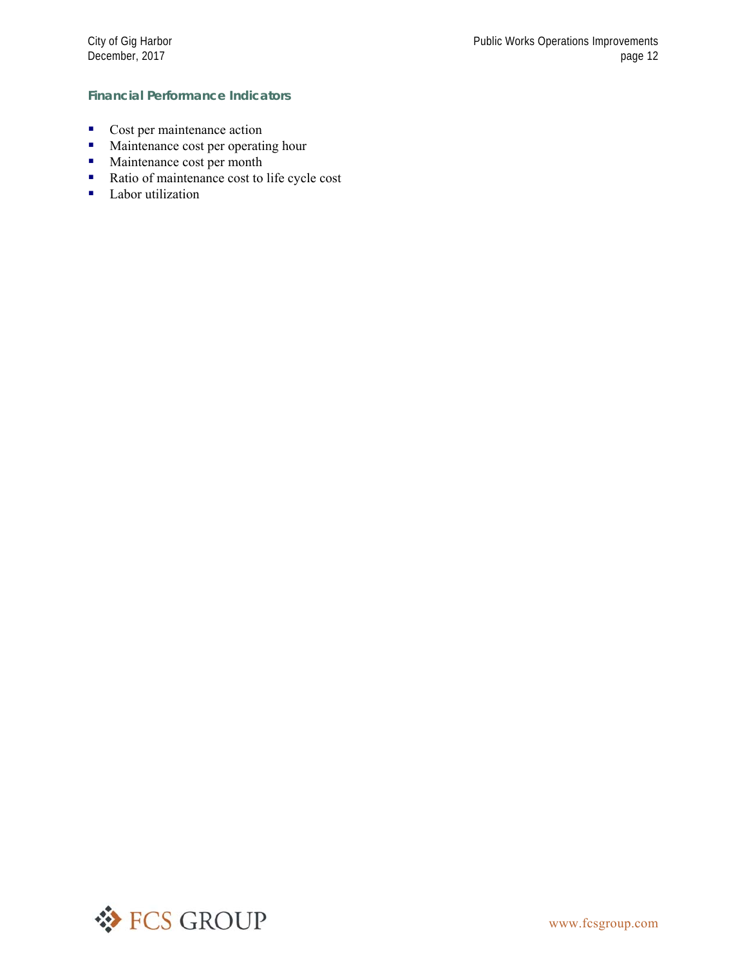#### **Financial Performance Indicators**

- Cost per maintenance action
- **Maintenance cost per operating hour**
- **Maintenance cost per month**
- Ratio of maintenance cost to life cycle cost
- Labor utilization

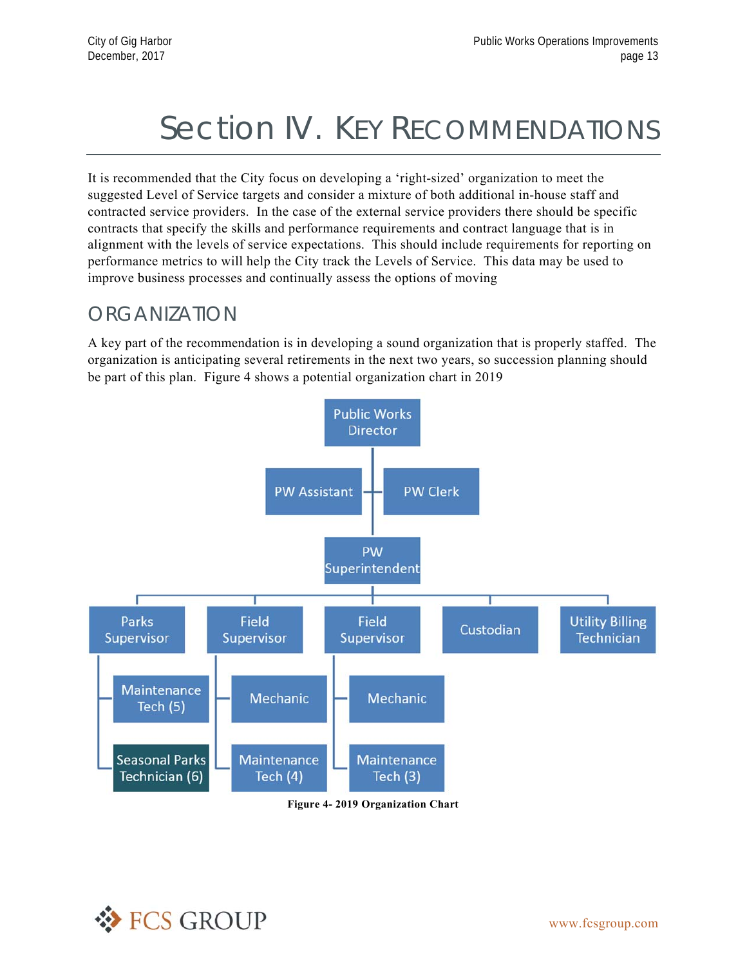# Section IV. KEY RECOMMENDATIONS

It is recommended that the City focus on developing a 'right-sized' organization to meet the suggested Level of Service targets and consider a mixture of both additional in-house staff and contracted service providers. In the case of the external service providers there should be specific contracts that specify the skills and performance requirements and contract language that is in alignment with the levels of service expectations. This should include requirements for reporting on performance metrics to will help the City track the Levels of Service. This data may be used to improve business processes and continually assess the options of moving

### ORGANIZATION

A key part of the recommendation is in developing a sound organization that is properly staffed. The organization is anticipating several retirements in the next two years, so succession planning should be part of this plan. Figure 4 shows a potential organization chart in 2019



**Figure 4- 2019 Organization Chart**

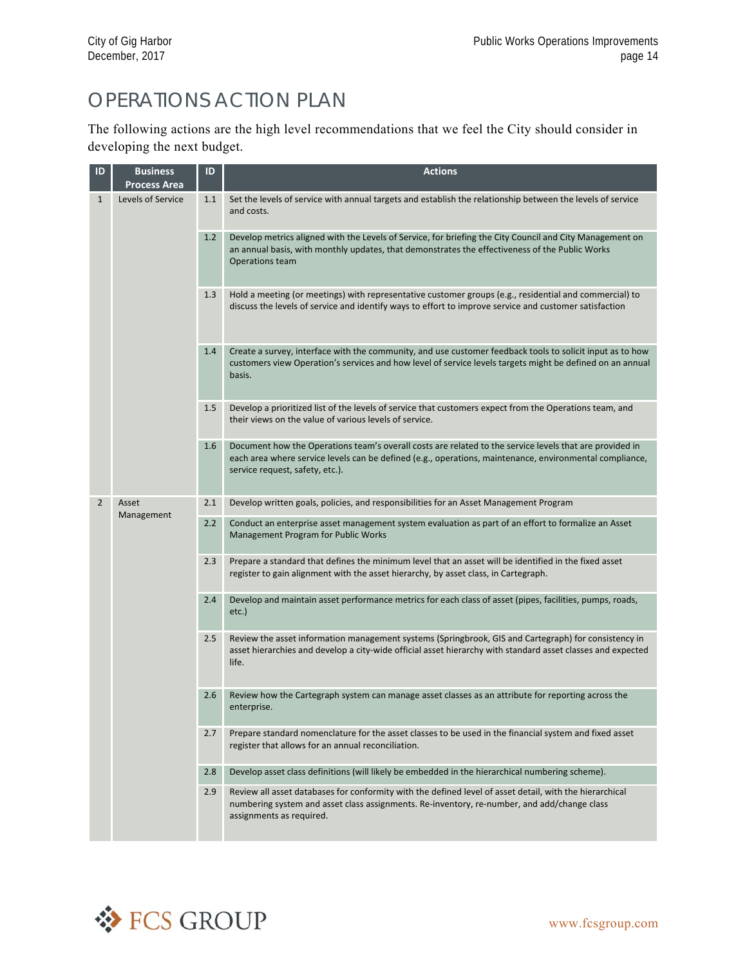## OPERATIONS ACTION PLAN

The following actions are the high level recommendations that we feel the City should consider in developing the next budget.

| ID             | <b>Business</b><br><b>Process Area</b> | ID  | <b>Actions</b>                                                                                                                                                                                                                                        |
|----------------|----------------------------------------|-----|-------------------------------------------------------------------------------------------------------------------------------------------------------------------------------------------------------------------------------------------------------|
| $\mathbf{1}$   | Levels of Service                      | 1.1 | Set the levels of service with annual targets and establish the relationship between the levels of service<br>and costs.                                                                                                                              |
|                |                                        | 1.2 | Develop metrics aligned with the Levels of Service, for briefing the City Council and City Management on<br>an annual basis, with monthly updates, that demonstrates the effectiveness of the Public Works<br>Operations team                         |
|                |                                        | 1.3 | Hold a meeting (or meetings) with representative customer groups (e.g., residential and commercial) to<br>discuss the levels of service and identify ways to effort to improve service and customer satisfaction                                      |
|                |                                        | 1.4 | Create a survey, interface with the community, and use customer feedback tools to solicit input as to how<br>customers view Operation's services and how level of service levels targets might be defined on an annual<br>basis.                      |
|                |                                        | 1.5 | Develop a prioritized list of the levels of service that customers expect from the Operations team, and<br>their views on the value of various levels of service.                                                                                     |
|                |                                        | 1.6 | Document how the Operations team's overall costs are related to the service levels that are provided in<br>each area where service levels can be defined (e.g., operations, maintenance, environmental compliance,<br>service request, safety, etc.). |
| $\overline{2}$ | Asset                                  | 2.1 | Develop written goals, policies, and responsibilities for an Asset Management Program                                                                                                                                                                 |
|                | Management                             | 2.2 | Conduct an enterprise asset management system evaluation as part of an effort to formalize an Asset<br>Management Program for Public Works                                                                                                            |
|                |                                        | 2.3 | Prepare a standard that defines the minimum level that an asset will be identified in the fixed asset<br>register to gain alignment with the asset hierarchy, by asset class, in Cartegraph.                                                          |
|                |                                        | 2.4 | Develop and maintain asset performance metrics for each class of asset (pipes, facilities, pumps, roads,<br>$etc.$ )                                                                                                                                  |
|                |                                        | 2.5 | Review the asset information management systems (Springbrook, GIS and Cartegraph) for consistency in<br>asset hierarchies and develop a city-wide official asset hierarchy with standard asset classes and expected<br>life.                          |
|                |                                        | 2.6 | Review how the Cartegraph system can manage asset classes as an attribute for reporting across the<br>enterprise.                                                                                                                                     |
|                |                                        | 2.7 | Prepare standard nomenclature for the asset classes to be used in the financial system and fixed asset<br>register that allows for an annual reconciliation.                                                                                          |
|                |                                        | 2.8 | Develop asset class definitions (will likely be embedded in the hierarchical numbering scheme).                                                                                                                                                       |
|                |                                        | 2.9 | Review all asset databases for conformity with the defined level of asset detail, with the hierarchical<br>numbering system and asset class assignments. Re-inventory, re-number, and add/change class<br>assignments as required.                    |

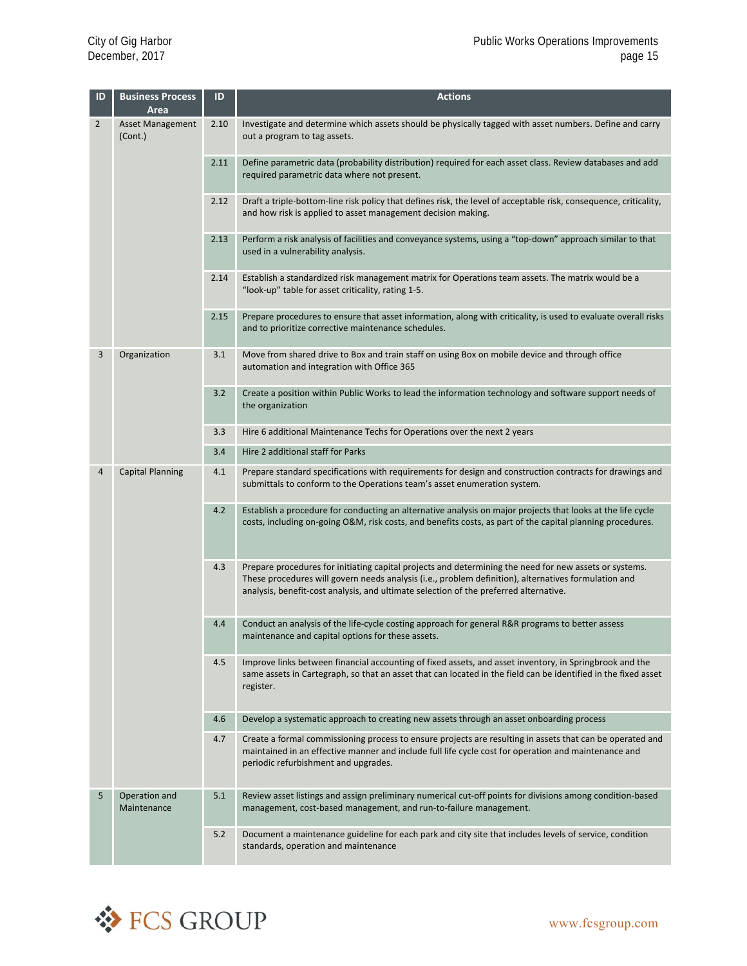| ID             | <b>Business Process</b><br>Area    | ID   | <b>Actions</b>                                                                                                                                                                                                                                                                                          |
|----------------|------------------------------------|------|---------------------------------------------------------------------------------------------------------------------------------------------------------------------------------------------------------------------------------------------------------------------------------------------------------|
| $\overline{2}$ | <b>Asset Management</b><br>(Cont.) | 2.10 | Investigate and determine which assets should be physically tagged with asset numbers. Define and carry<br>out a program to tag assets.                                                                                                                                                                 |
|                |                                    | 2.11 | Define parametric data (probability distribution) required for each asset class. Review databases and add<br>required parametric data where not present.                                                                                                                                                |
|                |                                    | 2.12 | Draft a triple-bottom-line risk policy that defines risk, the level of acceptable risk, consequence, criticality,<br>and how risk is applied to asset management decision making.                                                                                                                       |
|                |                                    | 2.13 | Perform a risk analysis of facilities and conveyance systems, using a "top-down" approach similar to that<br>used in a vulnerability analysis.                                                                                                                                                          |
|                |                                    | 2.14 | Establish a standardized risk management matrix for Operations team assets. The matrix would be a<br>"look-up" table for asset criticality, rating 1-5.                                                                                                                                                 |
|                |                                    | 2.15 | Prepare procedures to ensure that asset information, along with criticality, is used to evaluate overall risks<br>and to prioritize corrective maintenance schedules.                                                                                                                                   |
| 3              | Organization                       | 3.1  | Move from shared drive to Box and train staff on using Box on mobile device and through office<br>automation and integration with Office 365                                                                                                                                                            |
|                |                                    | 3.2  | Create a position within Public Works to lead the information technology and software support needs of<br>the organization                                                                                                                                                                              |
|                |                                    | 3.3  | Hire 6 additional Maintenance Techs for Operations over the next 2 years                                                                                                                                                                                                                                |
|                |                                    | 3.4  | Hire 2 additional staff for Parks                                                                                                                                                                                                                                                                       |
| 4              | <b>Capital Planning</b>            | 4.1  | Prepare standard specifications with requirements for design and construction contracts for drawings and<br>submittals to conform to the Operations team's asset enumeration system.                                                                                                                    |
|                |                                    | 4.2  | Establish a procedure for conducting an alternative analysis on major projects that looks at the life cycle<br>costs, including on-going O&M, risk costs, and benefits costs, as part of the capital planning procedures.                                                                               |
|                |                                    | 4.3  | Prepare procedures for initiating capital projects and determining the need for new assets or systems.<br>These procedures will govern needs analysis (i.e., problem definition), alternatives formulation and<br>analysis, benefit-cost analysis, and ultimate selection of the preferred alternative. |
|                |                                    | 4.4  | Conduct an analysis of the life-cycle costing approach for general R&R programs to better assess<br>maintenance and capital options for these assets.                                                                                                                                                   |
|                |                                    | 4.5  | Improve links between financial accounting of fixed assets, and asset inventory, in Springbrook and the<br>same assets in Cartegraph, so that an asset that can located in the field can be identified in the fixed asset<br>register.                                                                  |
|                |                                    | 4.6  | Develop a systematic approach to creating new assets through an asset onboarding process                                                                                                                                                                                                                |
|                |                                    | 4.7  | Create a formal commissioning process to ensure projects are resulting in assets that can be operated and<br>maintained in an effective manner and include full life cycle cost for operation and maintenance and<br>periodic refurbishment and upgrades.                                               |
| 5              | Operation and<br>Maintenance       | 5.1  | Review asset listings and assign preliminary numerical cut-off points for divisions among condition-based<br>management, cost-based management, and run-to-failure management.                                                                                                                          |
|                |                                    | 5.2  | Document a maintenance guideline for each park and city site that includes levels of service, condition<br>standards, operation and maintenance                                                                                                                                                         |

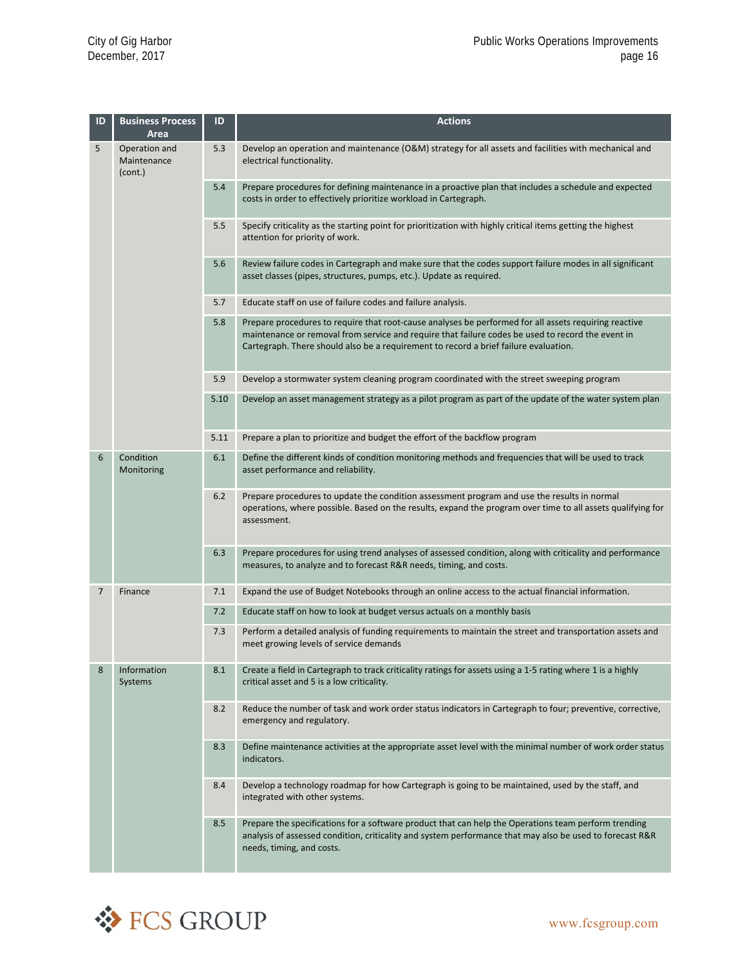| ID | <b>Business Process</b><br>Area         | ID   | <b>Actions</b>                                                                                                                                                                                                                                                                                     |
|----|-----------------------------------------|------|----------------------------------------------------------------------------------------------------------------------------------------------------------------------------------------------------------------------------------------------------------------------------------------------------|
| 5  | Operation and<br>Maintenance<br>(cont.) | 5.3  | Develop an operation and maintenance (O&M) strategy for all assets and facilities with mechanical and<br>electrical functionality.                                                                                                                                                                 |
|    |                                         | 5.4  | Prepare procedures for defining maintenance in a proactive plan that includes a schedule and expected<br>costs in order to effectively prioritize workload in Cartegraph.                                                                                                                          |
|    |                                         | 5.5  | Specify criticality as the starting point for prioritization with highly critical items getting the highest<br>attention for priority of work.                                                                                                                                                     |
|    |                                         | 5.6  | Review failure codes in Cartegraph and make sure that the codes support failure modes in all significant<br>asset classes (pipes, structures, pumps, etc.). Update as required.                                                                                                                    |
|    |                                         | 5.7  | Educate staff on use of failure codes and failure analysis.                                                                                                                                                                                                                                        |
|    |                                         | 5.8  | Prepare procedures to require that root-cause analyses be performed for all assets requiring reactive<br>maintenance or removal from service and require that failure codes be used to record the event in<br>Cartegraph. There should also be a requirement to record a brief failure evaluation. |
|    |                                         | 5.9  | Develop a stormwater system cleaning program coordinated with the street sweeping program                                                                                                                                                                                                          |
|    |                                         | 5.10 | Develop an asset management strategy as a pilot program as part of the update of the water system plan                                                                                                                                                                                             |
|    |                                         | 5.11 | Prepare a plan to prioritize and budget the effort of the backflow program                                                                                                                                                                                                                         |
| 6  | Condition<br>Monitoring                 | 6.1  | Define the different kinds of condition monitoring methods and frequencies that will be used to track<br>asset performance and reliability.                                                                                                                                                        |
|    |                                         | 6.2  | Prepare procedures to update the condition assessment program and use the results in normal<br>operations, where possible. Based on the results, expand the program over time to all assets qualifying for<br>assessment.                                                                          |
|    |                                         | 6.3  | Prepare procedures for using trend analyses of assessed condition, along with criticality and performance<br>measures, to analyze and to forecast R&R needs, timing, and costs.                                                                                                                    |
| 7  | Finance                                 | 7.1  | Expand the use of Budget Notebooks through an online access to the actual financial information.                                                                                                                                                                                                   |
|    |                                         | 7.2  | Educate staff on how to look at budget versus actuals on a monthly basis                                                                                                                                                                                                                           |
|    |                                         | 7.3  | Perform a detailed analysis of funding requirements to maintain the street and transportation assets and<br>meet growing levels of service demands                                                                                                                                                 |
| 8  | Information<br>Systems                  | 8.1  | Create a field in Cartegraph to track criticality ratings for assets using a 1-5 rating where 1 is a highly<br>critical asset and 5 is a low criticality.                                                                                                                                          |
|    |                                         | 8.2  | Reduce the number of task and work order status indicators in Cartegraph to four; preventive, corrective,<br>emergency and regulatory.                                                                                                                                                             |
|    |                                         | 8.3  | Define maintenance activities at the appropriate asset level with the minimal number of work order status<br>indicators.                                                                                                                                                                           |
|    |                                         | 8.4  | Develop a technology roadmap for how Cartegraph is going to be maintained, used by the staff, and<br>integrated with other systems.                                                                                                                                                                |
|    |                                         | 8.5  | Prepare the specifications for a software product that can help the Operations team perform trending<br>analysis of assessed condition, criticality and system performance that may also be used to forecast R&R<br>needs, timing, and costs.                                                      |

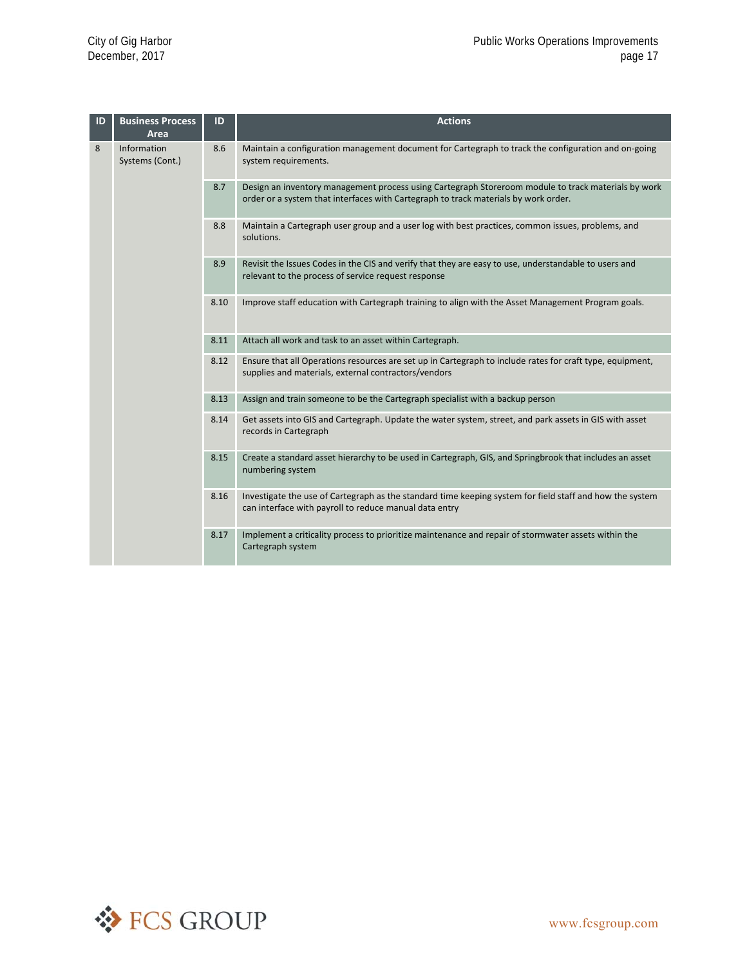| ID | <b>Business Process</b><br>Area | ID   | <b>Actions</b>                                                                                                                                                                             |
|----|---------------------------------|------|--------------------------------------------------------------------------------------------------------------------------------------------------------------------------------------------|
| 8  | Information<br>Systems (Cont.)  | 8.6  | Maintain a configuration management document for Cartegraph to track the configuration and on-going<br>system requirements.                                                                |
|    |                                 | 8.7  | Design an inventory management process using Cartegraph Storeroom module to track materials by work<br>order or a system that interfaces with Cartegraph to track materials by work order. |
|    |                                 | 8.8  | Maintain a Cartegraph user group and a user log with best practices, common issues, problems, and<br>solutions.                                                                            |
|    |                                 | 8.9  | Revisit the Issues Codes in the CIS and verify that they are easy to use, understandable to users and<br>relevant to the process of service request response                               |
|    |                                 | 8.10 | Improve staff education with Cartegraph training to align with the Asset Management Program goals.                                                                                         |
|    |                                 | 8.11 | Attach all work and task to an asset within Cartegraph.                                                                                                                                    |
|    |                                 | 8.12 | Ensure that all Operations resources are set up in Cartegraph to include rates for craft type, equipment,<br>supplies and materials, external contractors/vendors                          |
|    |                                 | 8.13 | Assign and train someone to be the Cartegraph specialist with a backup person                                                                                                              |
|    |                                 | 8.14 | Get assets into GIS and Cartegraph. Update the water system, street, and park assets in GIS with asset<br>records in Cartegraph                                                            |
|    |                                 | 8.15 | Create a standard asset hierarchy to be used in Cartegraph, GIS, and Springbrook that includes an asset<br>numbering system                                                                |
|    |                                 | 8.16 | Investigate the use of Cartegraph as the standard time keeping system for field staff and how the system<br>can interface with payroll to reduce manual data entry                         |
|    |                                 | 8.17 | Implement a criticality process to prioritize maintenance and repair of stormwater assets within the<br>Cartegraph system                                                                  |

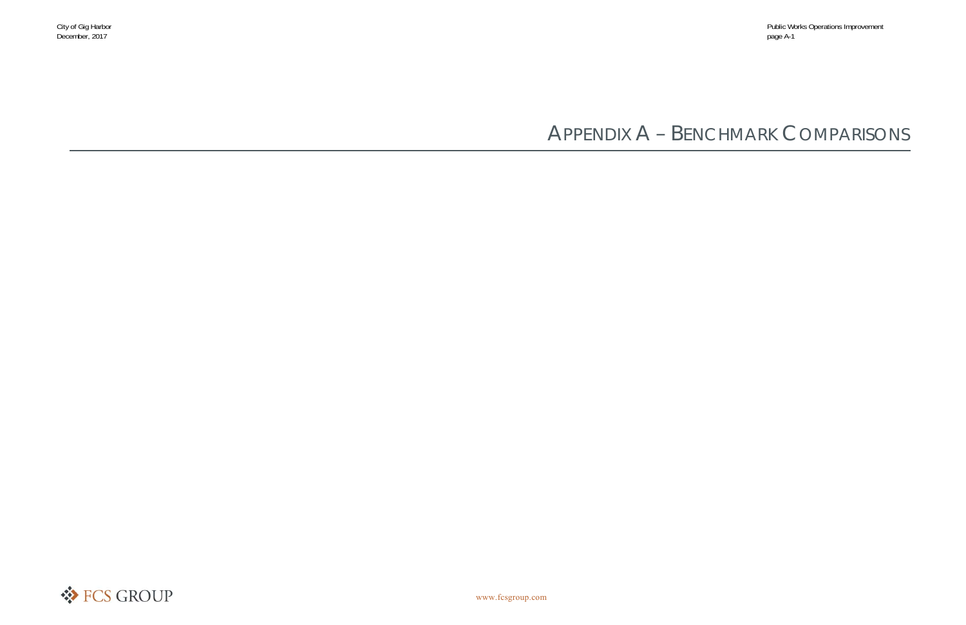# APPENDIX A – BENCHMARK COMPARISONS

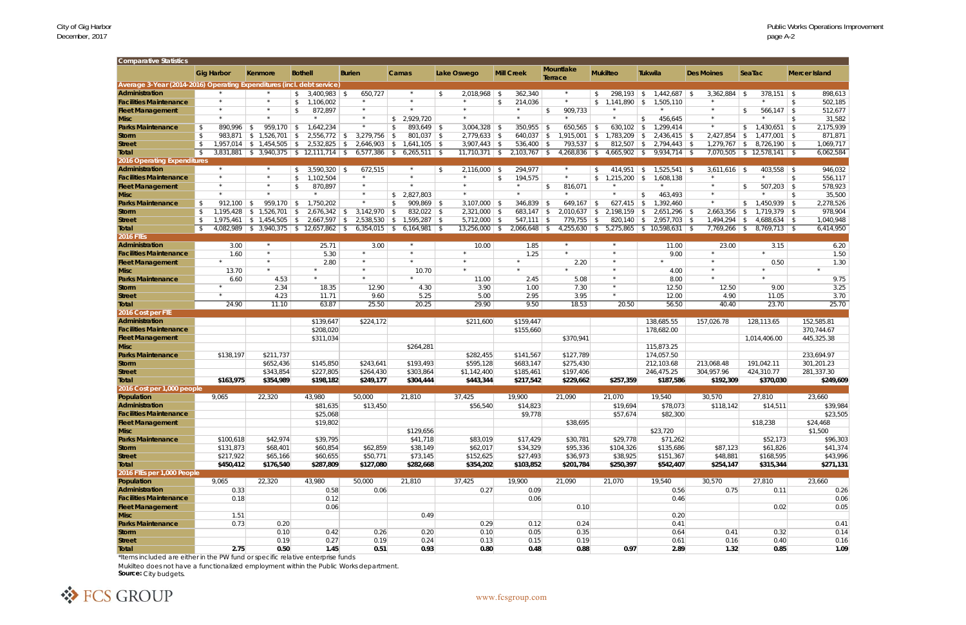## City of Gig Harbor<br>December, 2017<br>page A-2

| Comparative Statistics                                                 |                           |      |                               |                                             |               |                    |                                |                      |            |                   |              |                             |                                           |      |                |                           |              |                             |               |                      |
|------------------------------------------------------------------------|---------------------------|------|-------------------------------|---------------------------------------------|---------------|--------------------|--------------------------------|----------------------|------------|-------------------|--------------|-----------------------------|-------------------------------------------|------|----------------|---------------------------|--------------|-----------------------------|---------------|----------------------|
|                                                                        | <b>Gig Harbor</b>         |      | Kenmore                       | <b>Bothell</b>                              | <b>Burien</b> |                    | Camas                          | <b>Lake Oswego</b>   |            | <b>Mill Creek</b> |              | <b>Mountlake</b><br>Terrace | <b>Mukilteo</b>                           |      | Tukwila        | <b>Des Moines</b>         |              | SeaTac                      |               | <b>Mercer Island</b> |
| Average 3-Year (2014-2016) Operating Expenditures (incl. debt service) |                           |      |                               |                                             |               |                    |                                |                      |            |                   |              |                             |                                           |      |                |                           |              |                             |               |                      |
| Administration                                                         |                           |      | $\star$                       | $3,400,983$ \$<br>\$                        |               | 650,727            | $\star$                        | \$<br>$2,018,968$ \$ |            | 362,340           |              | $\star$                     | 298,193<br>S.                             | S.   | $1,442,687$ \$ | $3,362,884$ \$            |              | $378,151$ \$                |               | 898,613              |
| <b>Facilities Maintenance</b>                                          |                           |      | $^{\star}$                    | 1,106,002<br>\$                             |               | $\star$            |                                | $\star$              | $\sqrt{2}$ | 214,036           |              |                             |                                           |      | 1,505,110      | $\star$                   |              | $\star$                     | -\$           | 502,185              |
| <b>Fleet Management</b>                                                |                           |      | $\star$                       | 872,897<br>\$                               |               | $\star$            | $\star$                        |                      |            |                   | $\mathbb{S}$ | 909,733                     |                                           |      |                | $\star$                   | $\mathbb{S}$ | 566,147                     | $\mathcal{S}$ | 512,677              |
| <b>Misc</b>                                                            | $\star$                   |      | $\star$                       |                                             |               | $\star$            | 2,929,720<br><sup>\$</sup>     | $\star$              |            | $\star$           |              |                             | $\star$                                   | -\$  | 456,645        | $\star$                   |              | $\star$                     | $\mathcal{L}$ | 31,582               |
| <b>Parks Maintenance</b>                                               | 890,996<br>$\mathcal{S}$  | - \$ | $959,170$ \$                  | 1,642,234                                   |               |                    | $893,649$ \$<br>$\mathfrak{L}$ | $3,004,328$ \$       |            | $350,955$ \$      |              | $650,565$ \$                | 630,102                                   | - \$ | 1,299,414      | $\star$                   | $\mathbb{S}$ | 1,430,651                   | \$            | 2,175,939            |
| <b>Storm</b>                                                           | $\mathcal{S}$             |      | 983,871   \$ 1,526,701        | $2,556,772$ \$<br>$\vert$ \$                |               | 3,279,756          | $801,037$ \$<br>- \$           | $2,779,633$ \$       |            | $640,037$   \$    |              | 1,915,001                   | $1,783,209$ \$<br>IS.                     |      | $2,436,415$ \$ | $2,427,854$ \$            |              | $1,477,001$ \$              |               | 871,871              |
| <b>Street</b>                                                          |                           |      | $1,957,014$ \$ $1,454,505$ \$ | $2,532,825$ \$                              |               | $2,646,903$ \$     | $1,641,105$ \$                 | $3,907,443$ \$       |            | $536,400$ \$      |              | 793,537 \$                  | $812,507$ \$                              |      | $2,794,443$ \$ | $1,279,767$ \$            |              | $8,726,190$ \$              |               | 1,069,717            |
|                                                                        |                           |      |                               | $3,831,881$ \$ $3,940,375$ \$ 12,111,714 \$ |               |                    |                                | $11,710,371$ \$      |            |                   |              |                             |                                           |      |                |                           |              |                             |               |                      |
| Total                                                                  | - \$                      |      |                               |                                             |               | $6,577,386$ \ \ \$ | $6,265,511$ \ \$               |                      |            | $2,103,767$ \$    |              | $4,268,836$ \$              | $4,665,902$ \$                            |      | $9,934,714$ \$ |                           |              | $7,070,505$ \$12,578,141 \$ |               | 6,062,584            |
| 2016 Operating Expenditures                                            | $\star$                   |      | $\star$                       |                                             |               |                    | $\star$                        |                      |            |                   |              |                             |                                           |      |                |                           |              |                             |               |                      |
| Administration                                                         |                           |      |                               | $3,590,320$ \$<br>\$                        |               | 672,515<br>$\star$ | $\star$                        | \$<br>$2,116,000$ \$ |            | 294,977           |              |                             | $414,951$ \$<br><sup>\$</sup>             |      | $1,525,541$ \$ | $3,611,616$ \$<br>$\star$ |              | $403,558$ \$                |               | 946,032              |
| <b>Facilities Maintenance</b>                                          |                           |      | $\star$                       | 1,102,504<br>$\mathcal{S}$                  |               |                    |                                | $\star$              | \$         | 194,575           |              |                             | $\frac{1}{2}$ , 1,215,200 \ \$            |      | 1,608,138      |                           |              |                             | - \$          | 556,117              |
| <b>Fleet Management</b>                                                | $\star$                   |      | $\star$                       | 870,897<br>\$                               |               |                    | $\star$                        |                      |            |                   | \$           | 816,071                     |                                           |      |                | $\star$                   | $\mathbb{S}$ | 507,203                     | \$            | 578,923              |
| <b>Misc</b>                                                            | $\star$                   |      | $\star$                       | $\star$                                     |               | $\star$            | 2,827,803<br><sup>\$</sup>     | $\star$              |            | $\star$           |              |                             | $\star$                                   | -\$  | 463,493        | $\star$                   |              | $\star$                     | $\mathcal{L}$ | 35,500               |
| <b>Parks Maintenance</b>                                               | 912,100<br>$\mathfrak{L}$ | - \$ | $959,170$ \$                  | 1,750,202                                   |               |                    | $909,869$ \$<br>$\mathfrak{L}$ | $3,107,000$ \$       |            | $346,839$ \$      |              | $649,167$ \$                | 627,415                                   | \$   | 1,392,460      | $\star$                   | $\mathbb{S}$ | 1,450,939                   | $\mathcal{S}$ | 2,278,526            |
| <b>Storm</b>                                                           |                           |      | $1,195,428$ \$ 1,526,701      | 2,676,342<br>- \$                           | - \$          | $3,142,970$ \$     | $832,022$ \$                   | $2,321,000$ \$       |            | $683,147$ \$      |              | 2,010,637                   | $2,198,159$ \$<br>$\vert$ \$              |      | $2,651,296$ \$ | $2,663,356$ \$            |              | $1,719,379$ \$              |               | 978,904              |
| <b>Street</b>                                                          |                           |      | $1,975,461$ \$ $1,454,505$ \$ | $2,667,597$ \$                              |               | $2,538,530$ \$     | $1,595,287$ \$                 | $5,712,000$ \ \$     |            | $547,111$ \$      |              | $779,755$ \$                | $820,140$ \$                              |      | $2,957,703$ \$ | $1,494,294$ \$            |              | $4,688,634$ \$              |               | 1,040,948            |
| Total                                                                  |                           |      |                               | $4,082,989$ \$ 3,940,375 \$ 12,657,862 \$   |               | $6,354,015$ \$     | $6,164,981$ \$                 | $13,256,000$ \$      |            | $2,066,648$ \$    |              |                             | $4,255,630$ \$ 5,275,865 \$ 10,598,631 \$ |      |                | 7,769,266 \$              |              | $8,769,713$ \$              |               | 6,414,950            |
| <b>2016 FTEs</b>                                                       |                           |      |                               |                                             |               |                    |                                |                      |            |                   |              |                             |                                           |      |                |                           |              |                             |               |                      |
| Administration                                                         | 3.00                      |      | $\star$                       | 25.71                                       |               | 3.00               | $\star$                        | 10.00                |            | 1.85              |              |                             |                                           |      | 11.00          | 23.00                     |              | 3.15                        |               | 6.20                 |
| <b>Facilities Maintenance</b>                                          | 1.60                      |      | $\star$                       | 5.30                                        |               |                    | $\star$                        |                      |            | 1.25              |              |                             |                                           |      | 9.00           |                           |              |                             |               | 1.50                 |
| <b>Fleet Management</b>                                                |                           |      | $\star$                       | 2.80                                        |               |                    | $\star$                        |                      |            |                   |              | 2.20                        | $\star$                                   |      |                | $\star$                   |              | 0.50                        |               | 1.30                 |
| <b>Misc</b>                                                            | 13.70                     |      | $\star$                       |                                             |               | $\star$            | 10.70                          |                      |            | $\star$           |              | $\star$                     | $\star$                                   |      | 4.00           | $\star$                   |              | $\star$                     |               |                      |
| <b>Parks Maintenance</b>                                               | 6.60                      |      | 4.53                          |                                             |               |                    |                                | 11.00                |            | 2.45              |              | 5.08                        |                                           |      | 8.00           |                           |              |                             |               | 9.75                 |
|                                                                        | $\star$                   |      |                               | 18.35                                       |               | 12.90              |                                |                      |            |                   |              |                             | $\star$                                   |      |                | 12.50                     |              | 9.00                        |               | 3.25                 |
| <b>Storm</b>                                                           |                           |      | 2.34                          |                                             |               |                    | 4.30                           | 3.90                 |            | 1.00              |              | 7.30                        |                                           |      | 12.50          |                           |              |                             |               |                      |
| <b>Street</b>                                                          |                           |      | 4.23                          | 11.71                                       |               | 9.60               | 5.25                           | 5.00                 |            | 2.95              |              | 3.95                        |                                           |      | 12.00          | 4.90                      |              | 11.05                       |               | 3.70                 |
| Total                                                                  | 24.90                     |      | 11.10                         | 63.87                                       |               | 25.50              | 20.25                          | 29.90                |            | 9.50              |              | 18.53                       | 20.50                                     |      | 56.50          | 40.40                     |              | 23.70                       |               | 25.70                |
| 2016 Cost per FTE                                                      |                           |      |                               |                                             |               |                    |                                |                      |            |                   |              |                             |                                           |      |                |                           |              |                             |               |                      |
| Administration                                                         |                           |      |                               | \$139,647                                   |               | \$224,172          |                                | \$211,600            |            | \$159,447         |              |                             |                                           |      | 138,685.55     | 157,026.78                |              | 128,113.65                  |               | 152,585.81           |
| <b>Facilities Maintenance</b>                                          |                           |      |                               | \$208,020                                   |               |                    |                                |                      |            | \$155,660         |              |                             |                                           |      | 178,682.00     |                           |              |                             |               | 370,744.67           |
| <b>Fleet Management</b>                                                |                           |      |                               | \$311,034                                   |               |                    |                                |                      |            |                   |              | \$370,941                   |                                           |      |                |                           |              | 1,014,406.00                |               | 445,325.38           |
| <b>Misc</b>                                                            |                           |      |                               |                                             |               |                    | \$264,281                      |                      |            |                   |              |                             |                                           |      | 115,873.25     |                           |              |                             |               |                      |
| <b>Parks Maintenance</b>                                               | \$138,197                 |      | \$211,737                     |                                             |               |                    |                                | \$282,455            |            | \$141,567         |              | \$127,789                   |                                           |      | 174,057.50     |                           |              |                             |               | 233,694.97           |
| <b>Storm</b>                                                           |                           |      | \$652,436                     | \$145,850                                   |               | \$243,641          | \$193,493                      | \$595,128            |            | \$683,147         |              | \$275,430                   |                                           |      | 212,103.68     | 213,068.48                |              | 191,042.11                  |               | 301,201.23           |
| <b>Street</b>                                                          |                           |      | \$343,854                     | \$227,805                                   |               | \$264,430          | \$303,864                      | \$1,142,400          |            | \$185,461         |              | \$197,406                   |                                           |      | 246,475.25     | 304,957.96                |              | 424,310.77                  |               | 281,337.30           |
| Total                                                                  | \$163,975                 |      | \$354,989                     | \$198,182                                   |               | \$249,177          | \$304,444                      | \$443,344            |            | \$217,542         |              | \$229,662                   | \$257,359                                 |      | \$187,586      | \$192,309                 |              | \$370,030                   |               | \$249,609            |
| 2016 Cost per 1,000 people                                             |                           |      |                               |                                             |               |                    |                                |                      |            |                   |              |                             |                                           |      |                |                           |              |                             |               |                      |
| Population                                                             | 9,065                     |      | 22,320                        | 43,980                                      |               | 50,000             | 21,810                         | 37,425               |            | 19,900            |              | 21,090                      | 21,070                                    |      | 19,540         | 30,570                    |              | 27,810                      |               | 23,660               |
| <b>Administration</b>                                                  |                           |      |                               | \$81,635                                    |               | \$13,450           |                                | \$56,540             |            | \$14,823          |              |                             | \$19,694                                  |      | \$78,073       | \$118,142                 |              | \$14,511                    |               | \$39,984             |
| <b>Facilities Maintenance</b>                                          |                           |      |                               | \$25,068                                    |               |                    |                                |                      |            | \$9,778           |              |                             | \$57,674                                  |      | \$82,300       |                           |              |                             |               | \$23,505             |
| <b>Fleet Management</b>                                                |                           |      |                               | \$19,802                                    |               |                    |                                |                      |            |                   |              | \$38,695                    |                                           |      |                |                           |              | \$18,238                    |               | \$24,468             |
| <b>Misc</b>                                                            |                           |      |                               |                                             |               |                    | \$129,656                      |                      |            |                   |              |                             |                                           |      | \$23,720       |                           |              |                             |               | \$1,500              |
|                                                                        |                           |      |                               |                                             |               |                    |                                |                      |            |                   |              |                             |                                           |      |                |                           |              |                             |               |                      |
| <b>Parks Maintenance</b>                                               | \$100,618                 |      | \$42,974                      | \$39,795                                    |               |                    | \$41,718                       | \$83,019             |            | \$17,429          |              | \$30,781                    | \$29,778                                  |      | \$71,262       |                           |              | \$52,173                    |               | \$96,303             |
| <b>Storm</b>                                                           | \$131,873                 |      | \$68,401                      | \$60,854                                    |               | \$62,859           | \$38,149                       | \$62,017             |            | \$34,329          |              | \$95,336                    | \$104,326                                 |      | \$135,686      | \$87,123                  |              | \$61,826                    |               | \$41,374             |
| <b>Street</b>                                                          | \$217,922                 |      | \$65,166                      | \$60,655                                    |               | \$50,771           | \$73,145                       | \$152,625            |            | \$27,493          |              | \$36,973                    | \$38,925                                  |      | \$151,367      | \$48,881                  |              | \$168,595                   |               | \$43,996             |
| Total                                                                  | \$450,412                 |      | \$176,540                     | \$287,809                                   |               | \$127,080          | \$282,668                      | \$354,202            |            | \$103,852         |              | \$201,784                   | \$250,397                                 |      | \$542,407      | \$254,147                 |              | \$315,344                   |               | \$271,131            |
| 2016 FTEs per 1,000 People                                             |                           |      |                               |                                             |               |                    |                                |                      |            |                   |              |                             |                                           |      |                |                           |              |                             |               |                      |
| Population                                                             | 9,065                     |      | 22,320                        | 43,980                                      |               | 50,000             | 21,810                         | 37,425               |            | 19,900            |              | 21,090                      | 21,070                                    |      | 19,540         | 30,570                    |              | 27,810                      |               | 23,660               |
| Administration                                                         |                           | 0.33 |                               | 0.58                                        |               | 0.06               |                                | 0.27                 |            | 0.09              |              |                             |                                           |      | 0.56           | 0.75                      |              | 0.11                        |               | 0.26                 |
| <b>Facilities Maintenance</b>                                          |                           | 0.18 |                               | 0.12                                        |               |                    |                                |                      |            | 0.06              |              |                             |                                           |      | 0.46           |                           |              |                             |               | 0.06                 |
| <b>Fleet Management</b>                                                |                           |      |                               | 0.06                                        |               |                    |                                |                      |            |                   |              | 0.10                        |                                           |      |                |                           |              | 0.02                        |               | 0.05                 |
| <b>Misc</b>                                                            |                           | 1.51 |                               |                                             |               |                    | 0.49                           |                      |            |                   |              |                             |                                           |      | 0.20           |                           |              |                             |               |                      |
| <b>Parks Maintenance</b>                                               |                           | 0.73 | 0.20                          |                                             |               |                    |                                | 0.29                 |            | 0.12              |              | 0.24                        |                                           |      | 0.41           |                           |              |                             |               | 0.41                 |
| <b>Storm</b>                                                           |                           |      | 0.10                          | 0.42                                        |               | 0.26               | 0.20                           | 0.10                 |            | 0.05              |              | 0.35                        |                                           |      | 0.64           | 0.41                      |              | 0.32                        |               | 0.14                 |
| <b>Street</b>                                                          |                           |      | 0.19                          | 0.27                                        |               | 0.19               | 0.24                           | 0.13                 |            | 0.15              |              | 0.19                        |                                           |      | 0.61           | 0.16                      |              | 0.40                        |               | 0.16                 |
| Total                                                                  |                           | 2.75 | 0.50                          | 1.45                                        |               | 0.51               | 0.93                           | 0.80                 |            | 0.48              |              | 0.88                        | 0.97                                      |      | 2.89           | 1.32                      |              | 0.85                        |               | 1.09                 |
|                                                                        |                           |      |                               |                                             |               |                    |                                |                      |            |                   |              |                             |                                           |      |                |                           |              |                             |               |                      |

\*Items included are either in the PW fund or specific relative enterprise funds

Mukilteo does not have a functionalized employment within the Public Works department.

**Source:** City budgets.

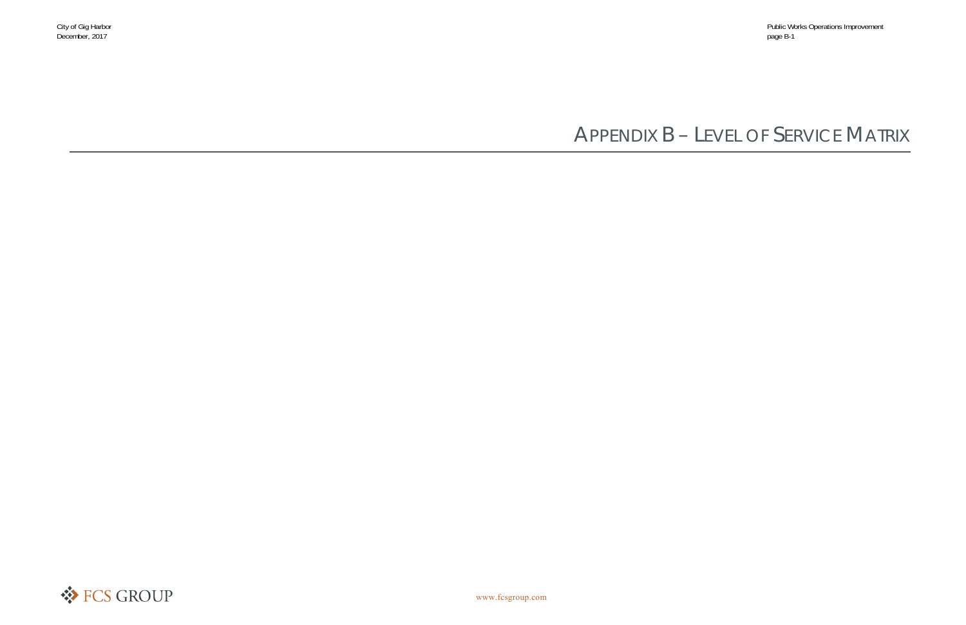# APPENDIX B – LEVEL OF SERVICE MATRIX

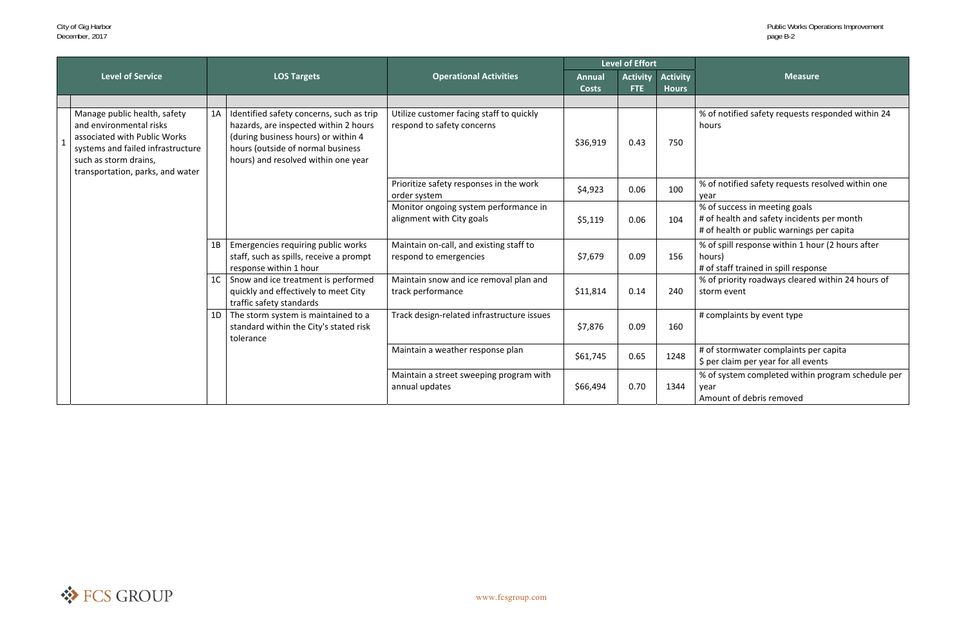of notified safety requests responded within 24 hours

of notified safety requests resolved within one<br>ear

of health and safety incidents per month of health or public warnings per capita

of spill response within 1 hour (2 hours after purs)

of priority roadways cleared within 24 hours of storm event

of system completed within program schedule per ear!

|                                                                                                                                                                                                           |                |                                                                                                                                                                                                      |                                                                        |                               | <b>Level of Effort</b>        |                                 |                                                                                                                      |  |
|-----------------------------------------------------------------------------------------------------------------------------------------------------------------------------------------------------------|----------------|------------------------------------------------------------------------------------------------------------------------------------------------------------------------------------------------------|------------------------------------------------------------------------|-------------------------------|-------------------------------|---------------------------------|----------------------------------------------------------------------------------------------------------------------|--|
| <b>Level of Service</b>                                                                                                                                                                                   |                | <b>LOS Targets</b>                                                                                                                                                                                   | <b>Operational Activities</b>                                          | <b>Annual</b><br><b>Costs</b> | <b>Activity</b><br><b>FTE</b> | <b>Activity</b><br><b>Hours</b> | <b>Measure</b>                                                                                                       |  |
|                                                                                                                                                                                                           |                |                                                                                                                                                                                                      |                                                                        |                               |                               |                                 |                                                                                                                      |  |
| Manage public health, safety<br>and environmental risks<br>associated with Public Works<br>$\mathbf{1}$<br>systems and failed infrastructure<br>such as storm drains,<br>transportation, parks, and water | 1A             | Identified safety concerns, such as trip<br>hazards, are inspected within 2 hours<br>(during business hours) or within 4<br>hours (outside of normal business<br>hours) and resolved within one year | Utilize customer facing staff to quickly<br>respond to safety concerns | \$36,919                      | 0.43                          | 750                             | % of notified safety requests responde<br>hours                                                                      |  |
|                                                                                                                                                                                                           |                |                                                                                                                                                                                                      | Prioritize safety responses in the work<br>order system                | \$4,923                       | 0.06                          | 100                             | % of notified safety requests resolved<br>year                                                                       |  |
|                                                                                                                                                                                                           |                |                                                                                                                                                                                                      | Monitor ongoing system performance in<br>alignment with City goals     | \$5,119                       | 0.06                          | 104                             | % of success in meeting goals<br># of health and safety incidents per mo<br># of health or public warnings per capit |  |
|                                                                                                                                                                                                           | 1B             | Emergencies requiring public works<br>staff, such as spills, receive a prompt<br>response within 1 hour                                                                                              | Maintain on-call, and existing staff to<br>respond to emergencies      | \$7,679                       | 0.09                          | 156                             | % of spill response within 1 hour (2 hor<br>hours)<br># of staff trained in spill response                           |  |
|                                                                                                                                                                                                           | 1 <sup>C</sup> | Snow and ice treatment is performed<br>quickly and effectively to meet City<br>traffic safety standards                                                                                              | Maintain snow and ice removal plan and<br>track performance            | \$11,814                      | 0.14                          | 240                             | % of priority roadways cleared within 2<br>storm event                                                               |  |
|                                                                                                                                                                                                           | 1D             | The storm system is maintained to a<br>standard within the City's stated risk<br>tolerance                                                                                                           | Track design-related infrastructure issues                             | \$7,876                       | 0.09                          | 160                             | # complaints by event type                                                                                           |  |
|                                                                                                                                                                                                           |                |                                                                                                                                                                                                      | Maintain a weather response plan                                       | \$61,745                      | 0.65                          | 1248                            | # of stormwater complaints per capita<br>\$ per claim per year for all events                                        |  |
|                                                                                                                                                                                                           |                |                                                                                                                                                                                                      | Maintain a street sweeping program with<br>annual updates              | \$66,494                      | 0.70                          | 1344                            | % of system completed within program<br>year<br>Amount of debris removed                                             |  |

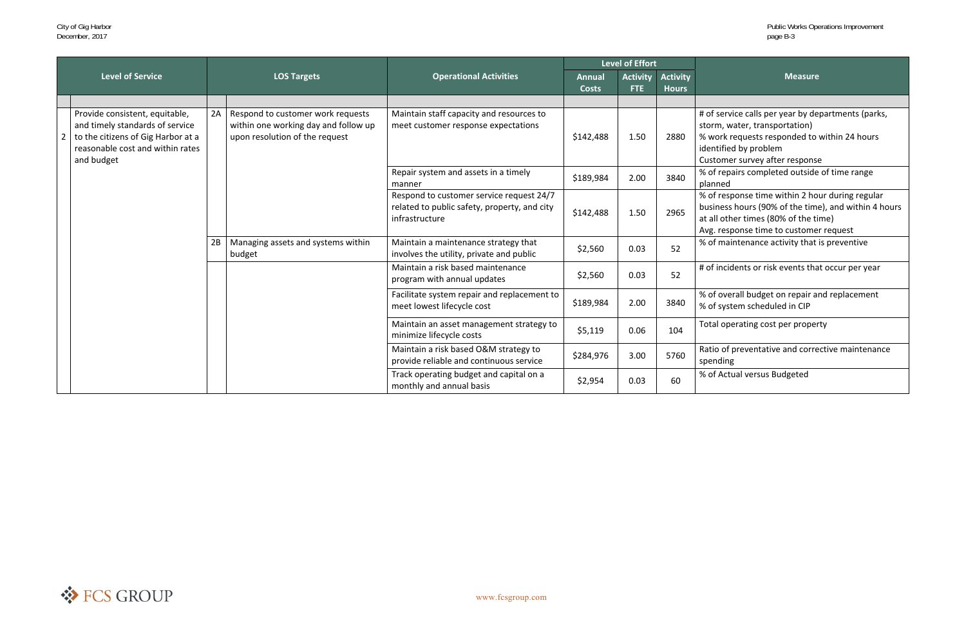- of service calls per year by departments (parks, orm, water, transportation)
- work requests responded to within 24 hours entified by problem
- ustomer survey after response
- of repairs completed outside of time range<br>anned
- of response time within 2 hour during regular usiness hours (90% of the time), and within 4 hours all other times (80% of the time)
- vg. response time to customer request
- of maintenance activity that is preventive

of incidents or risk events that occur per year

of overall budget on repair and replacement<br>of system scheduled in CIP

otal operating cost per property

atio of preventative and corrective maintenance<br>bending

of Actual versus Budgeted

|                |                                                                                                                                                           |                    |                                                                                                             |                                                                                                            | <b>Level of Effort</b>        |                               |                                 |                                |  |
|----------------|-----------------------------------------------------------------------------------------------------------------------------------------------------------|--------------------|-------------------------------------------------------------------------------------------------------------|------------------------------------------------------------------------------------------------------------|-------------------------------|-------------------------------|---------------------------------|--------------------------------|--|
|                | <b>Level of Service</b>                                                                                                                                   | <b>LOS Targets</b> |                                                                                                             | <b>Operational Activities</b>                                                                              | <b>Annual</b><br><b>Costs</b> | <b>Activity</b><br><b>FTE</b> | <b>Activity</b><br><b>Hours</b> |                                |  |
|                |                                                                                                                                                           |                    |                                                                                                             |                                                                                                            |                               |                               |                                 |                                |  |
| $\overline{2}$ | Provide consistent, equitable,<br>and timely standards of service<br>to the citizens of Gig Harbor at a<br>reasonable cost and within rates<br>and budget | 2A                 | Respond to customer work requests<br>within one working day and follow up<br>upon resolution of the request | Maintain staff capacity and resources to<br>meet customer response expectations                            | \$142,488                     | 1.50                          | 2880                            | # $c$<br>stc<br>%<br>ide<br>Cu |  |
|                |                                                                                                                                                           |                    |                                                                                                             | Repair system and assets in a timely<br>manner                                                             | \$189,984                     | 2.00                          | 3840                            | %<br>pla                       |  |
|                |                                                                                                                                                           |                    |                                                                                                             | Respond to customer service request 24/7<br>related to public safety, property, and city<br>infrastructure | \$142,488                     | 1.50                          | 2965                            | %<br>bu<br>at<br>Av            |  |
|                |                                                                                                                                                           | 2B                 | Managing assets and systems within<br>budget                                                                | Maintain a maintenance strategy that<br>involves the utility, private and public                           | \$2,560                       | 0.03                          | 52                              | %                              |  |
|                |                                                                                                                                                           |                    |                                                                                                             | Maintain a risk based maintenance<br>program with annual updates                                           | \$2,560                       | 0.03                          | 52                              | #c                             |  |
|                |                                                                                                                                                           |                    |                                                                                                             | Facilitate system repair and replacement to<br>meet lowest lifecycle cost                                  | \$189,984                     | 2.00                          | 3840                            | %<br>%                         |  |
|                |                                                                                                                                                           |                    |                                                                                                             | Maintain an asset management strategy to<br>minimize lifecycle costs                                       | \$5,119                       | 0.06                          | 104                             | To                             |  |
|                |                                                                                                                                                           |                    |                                                                                                             | Maintain a risk based O&M strategy to<br>provide reliable and continuous service                           | \$284,976                     | 3.00                          | 5760                            | Ra<br>sp                       |  |
|                |                                                                                                                                                           |                    |                                                                                                             | Track operating budget and capital on a<br>monthly and annual basis                                        | \$2,954                       | 0.03                          | 60                              | %                              |  |

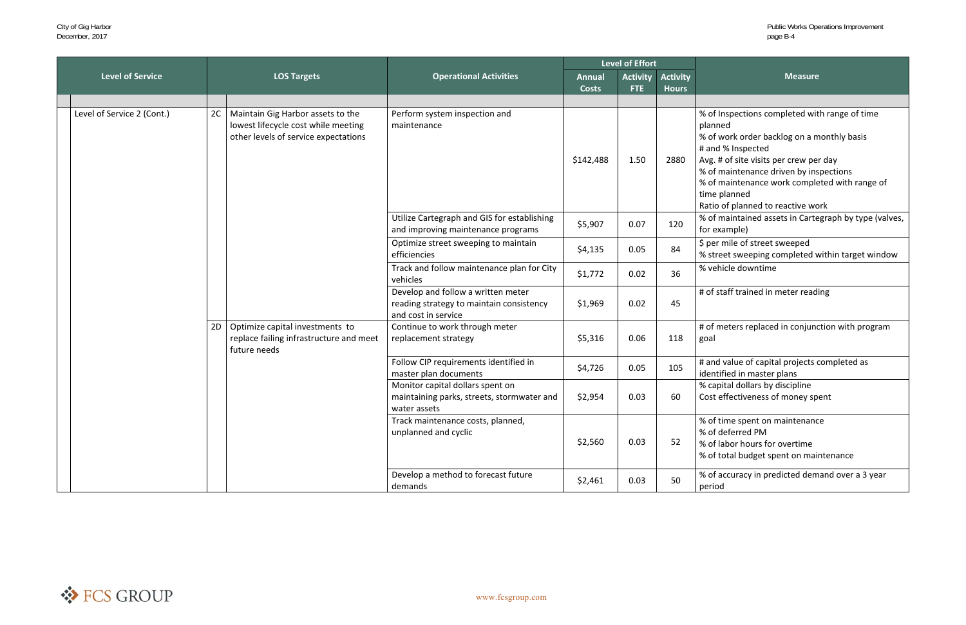- of Inspections completed with range of time anned
- of work order backlog on a monthly basis and % Inspected
- 
- vg. # of site visits per crew per day
- of maintenance driven by inspections
- of maintenance work completed with range of ne planned
- atio of planned to reactive work
- of maintained assets in Cartegraph by type (valves, or example)
- 
- per mile of street sweeped<br>street sweeping completed within target window
- 

of staff trained in meter reading

of meters replaced in conjunction with program al

and value of capital projects completed as entified in master plans

- capital dollars by discipline
- ost effectiveness of money spent
- of time spent on maintenance
- % of deferred PM
- % of labor hours for overtime
- of total budget spent on maintenance

of accuracy in predicted demand over a 3 year eriod

|                            |    |                                                                                                                  |                                                                                                       | <b>Level of Effort</b>        |                               |                                 |                                                                                                                                                                                                |
|----------------------------|----|------------------------------------------------------------------------------------------------------------------|-------------------------------------------------------------------------------------------------------|-------------------------------|-------------------------------|---------------------------------|------------------------------------------------------------------------------------------------------------------------------------------------------------------------------------------------|
| <b>Level of Service</b>    |    | <b>LOS Targets</b>                                                                                               | <b>Operational Activities</b>                                                                         | <b>Annual</b><br><b>Costs</b> | <b>Activity</b><br><b>FTE</b> | <b>Activity</b><br><b>Hours</b> |                                                                                                                                                                                                |
|                            |    |                                                                                                                  |                                                                                                       |                               |                               |                                 |                                                                                                                                                                                                |
| Level of Service 2 (Cont.) | 2C | Maintain Gig Harbor assets to the<br>lowest lifecycle cost while meeting<br>other levels of service expectations | Perform system inspection and<br>maintenance                                                          | \$142,488                     | 1.50                          | 2880                            | % of Inspections com<br>planned<br>% of work order back<br># and % Inspected<br>Avg. # of site visits po<br>% of maintenance dr<br>% of maintenance w<br>time planned<br>Ratio of planned to r |
|                            |    |                                                                                                                  | Utilize Cartegraph and GIS for establishing<br>and improving maintenance programs                     | \$5,907                       | 0.07                          | 120                             | % of maintained asse<br>for example)                                                                                                                                                           |
|                            |    | efficiencies                                                                                                     | Optimize street sweeping to maintain                                                                  | \$4,135                       | 0.05                          | 84                              | \$ per mile of street s<br>% street sweeping co                                                                                                                                                |
|                            |    |                                                                                                                  | Track and follow maintenance plan for City<br>vehicles                                                | \$1,772                       | 0.02                          | 36                              | % vehicle downtime                                                                                                                                                                             |
|                            |    |                                                                                                                  | Develop and follow a written meter<br>reading strategy to maintain consistency<br>and cost in service | \$1,969                       | 0.02                          | 45                              | # of staff trained in n                                                                                                                                                                        |
|                            | 2D | Optimize capital investments to<br>replace failing infrastructure and meet<br>future needs                       | Continue to work through meter<br>replacement strategy                                                | \$5,316                       | 0.06                          | 118                             | # of meters replaced<br>goal                                                                                                                                                                   |
|                            |    |                                                                                                                  | Follow CIP requirements identified in<br>master plan documents                                        | \$4,726                       | 0.05                          | 105                             | # and value of capita<br>identified in master p                                                                                                                                                |
|                            |    |                                                                                                                  | Monitor capital dollars spent on<br>maintaining parks, streets, stormwater and<br>water assets        | \$2,954                       | 0.03                          | 60                              | % capital dollars by o<br>Cost effectiveness of                                                                                                                                                |
|                            |    |                                                                                                                  | Track maintenance costs, planned,<br>unplanned and cyclic                                             | \$2,560                       | 0.03                          | 52                              | % of time spent on n<br>% of deferred PM<br>% of labor hours for<br>% of total budget spo                                                                                                      |
|                            |    |                                                                                                                  | Develop a method to forecast future<br>demands                                                        | \$2,461                       | 0.03                          | 50                              | % of accuracy in pred<br>period                                                                                                                                                                |

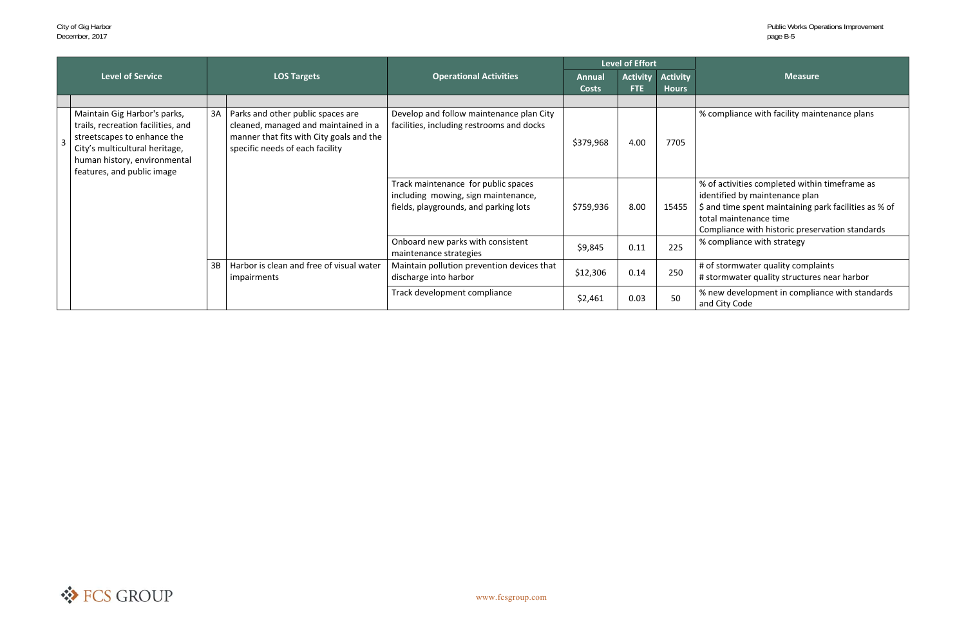compliance with facility maintenance plans

- of activities completed within timeframe as entified by maintenance plan
- and time spent maintaining park facilities as % of total maintenance time
- mpliance with historic preservation standards compliance with strategy

of stormwater quality complaints<br>stormwater quality structures near harbor

new development in compliance with standards and City Code

|                |                                                                                                                                                                                                   |    |                                                                                                                                                          |                                                                                                                     | Level of Effort               |                        |                                 |                               |
|----------------|---------------------------------------------------------------------------------------------------------------------------------------------------------------------------------------------------|----|----------------------------------------------------------------------------------------------------------------------------------------------------------|---------------------------------------------------------------------------------------------------------------------|-------------------------------|------------------------|---------------------------------|-------------------------------|
|                | <b>Level of Service</b>                                                                                                                                                                           |    | <b>LOS Targets</b>                                                                                                                                       | <b>Operational Activities</b>                                                                                       | <b>Annual</b><br><b>Costs</b> | <b>Activity</b><br>FTE | <b>Activity</b><br><b>Hours</b> |                               |
|                |                                                                                                                                                                                                   |    |                                                                                                                                                          |                                                                                                                     |                               |                        |                                 |                               |
| $\overline{3}$ | Maintain Gig Harbor's parks,<br>trails, recreation facilities, and<br>streetscapes to enhance the<br>City's multicultural heritage,<br>human history, environmental<br>features, and public image | 3A | Parks and other public spaces are<br>cleaned, managed and maintained in a<br>manner that fits with City goals and the<br>specific needs of each facility | Develop and follow maintenance plan City<br>facilities, including restrooms and docks                               | \$379,968                     | 4.00                   | 7705                            | %                             |
|                |                                                                                                                                                                                                   |    |                                                                                                                                                          | Track maintenance for public spaces<br>including mowing, sign maintenance,<br>fields, playgrounds, and parking lots | \$759,936                     | 8.00                   | 15455                           | %<br>ide<br>\$a<br>tot<br>Col |
|                |                                                                                                                                                                                                   |    |                                                                                                                                                          | Onboard new parks with consistent<br>maintenance strategies                                                         | \$9,845                       | 0.11                   | 225                             | %                             |
|                |                                                                                                                                                                                                   | 3B | Harbor is clean and free of visual water<br>impairments                                                                                                  | Maintain pollution prevention devices that<br>discharge into harbor                                                 | \$12,306                      | 0.14                   | 250                             | # o<br>#s                     |
|                |                                                                                                                                                                                                   |    |                                                                                                                                                          | Track development compliance                                                                                        | \$2,461                       | 0.03                   | 50                              | %r<br>and                     |

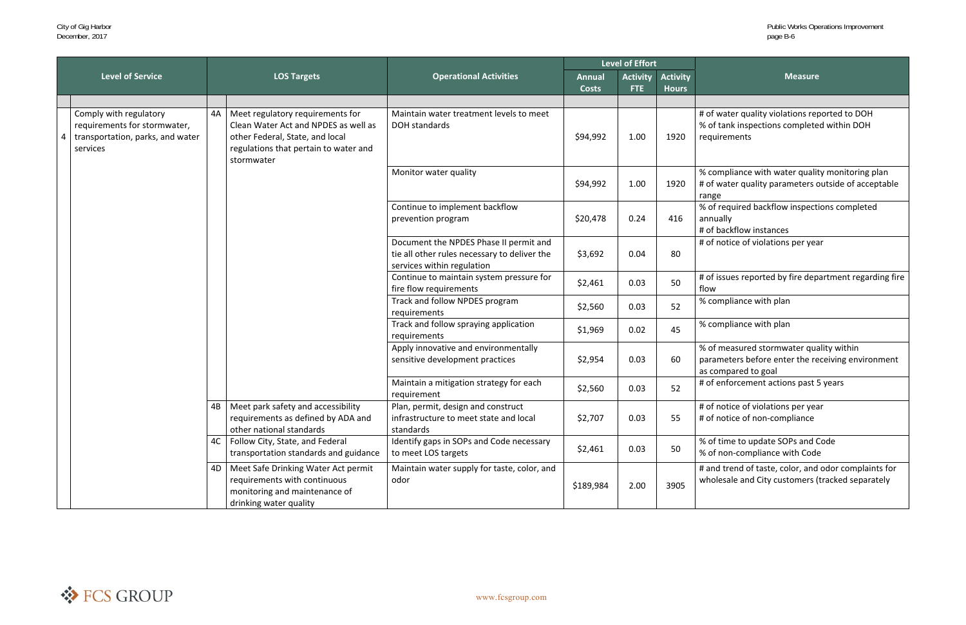of water quality violations reported to DOH of tank inspections completed within DOH quirements

compliance with water quality monitoring plan of water quality parameters outside of acceptable nge

of required backflow inspections completed annually

of notice of violations per year

fire flow requirements \$2,461 0.03 <sup>50</sup> # of issues reported by fire department regarding fire flow

of measured stormwater quality within rameters before enter the receiving environment compared to goal

of enforcement actions past 5 years

of notice of violations per year of notice of non-compliance

of time to update SOPs and Code of non-compliance with Code

and trend of taste, color, and odor complaints for holesale and City customers (tracked separately

|                                                                                                        |    |                                                                                                                                                                    |                                                                                                                      |                               | <b>Level of Effort</b>        |                                 |                                                                        |
|--------------------------------------------------------------------------------------------------------|----|--------------------------------------------------------------------------------------------------------------------------------------------------------------------|----------------------------------------------------------------------------------------------------------------------|-------------------------------|-------------------------------|---------------------------------|------------------------------------------------------------------------|
| <b>Level of Service</b>                                                                                |    | <b>LOS Targets</b>                                                                                                                                                 | <b>Operational Activities</b>                                                                                        | <b>Annual</b><br><b>Costs</b> | <b>Activity</b><br><b>FTE</b> | <b>Activity</b><br><b>Hours</b> | M                                                                      |
|                                                                                                        |    |                                                                                                                                                                    |                                                                                                                      |                               |                               |                                 |                                                                        |
| Comply with regulatory<br>requirements for stormwater,<br>transportation, parks, and water<br>services | 4A | Meet regulatory requirements for<br>Clean Water Act and NPDES as well as<br>other Federal, State, and local<br>regulations that pertain to water and<br>stormwater | Maintain water treatment levels to meet<br>DOH standards                                                             | \$94,992                      | 1.00                          | 1920                            | # of water quality violati<br>% of tank inspections co<br>requirements |
|                                                                                                        |    |                                                                                                                                                                    | Monitor water quality                                                                                                | \$94,992                      | 1.00                          | 1920                            | % compliance with wate<br># of water quality param<br>range            |
|                                                                                                        |    |                                                                                                                                                                    | Continue to implement backflow<br>prevention program                                                                 | \$20,478                      | 0.24                          | 416                             | % of required backflow i<br>annually<br># of backflow instances        |
|                                                                                                        |    |                                                                                                                                                                    | Document the NPDES Phase II permit and<br>tie all other rules necessary to deliver the<br>services within regulation | \$3,692                       | 0.04                          | 80                              | # of notice of violations                                              |
|                                                                                                        |    |                                                                                                                                                                    | Continue to maintain system pressure for<br>fire flow requirements                                                   | \$2,461                       | 0.03                          | 50                              | # of issues reported by f<br>flow                                      |
|                                                                                                        |    |                                                                                                                                                                    | Track and follow NPDES program<br>requirements                                                                       | \$2,560                       | 0.03                          | 52                              | % compliance with plan                                                 |
|                                                                                                        |    |                                                                                                                                                                    | Track and follow spraying application<br>requirements                                                                | \$1,969                       | 0.02                          | 45                              | % compliance with plan                                                 |
|                                                                                                        |    |                                                                                                                                                                    | Apply innovative and environmentally<br>sensitive development practices                                              | \$2,954                       | 0.03                          | 60                              | % of measured stormwa<br>parameters before ente<br>as compared to goal |
|                                                                                                        |    |                                                                                                                                                                    | Maintain a mitigation strategy for each<br>requirement                                                               | \$2,560                       | 0.03                          | 52                              | # of enforcement action                                                |
|                                                                                                        |    | 4B   Meet park safety and accessibility<br>requirements as defined by ADA and<br>other national standards                                                          | Plan, permit, design and construct<br>infrastructure to meet state and local<br>standards                            | \$2,707                       | 0.03                          | 55                              | # of notice of violations<br># of notice of non-comp                   |
|                                                                                                        | 4C | Follow City, State, and Federal<br>transportation standards and guidance                                                                                           | Identify gaps in SOPs and Code necessary<br>to meet LOS targets                                                      | \$2,461                       | 0.03                          | 50                              | % of time to update SOP<br>% of non-compliance wit                     |
|                                                                                                        | 4D | Meet Safe Drinking Water Act permit<br>requirements with continuous<br>monitoring and maintenance of<br>drinking water quality                                     | Maintain water supply for taste, color, and<br>odor                                                                  | \$189,984                     | 2.00                          | 3905                            | # and trend of taste, col<br>wholesale and City custo                  |